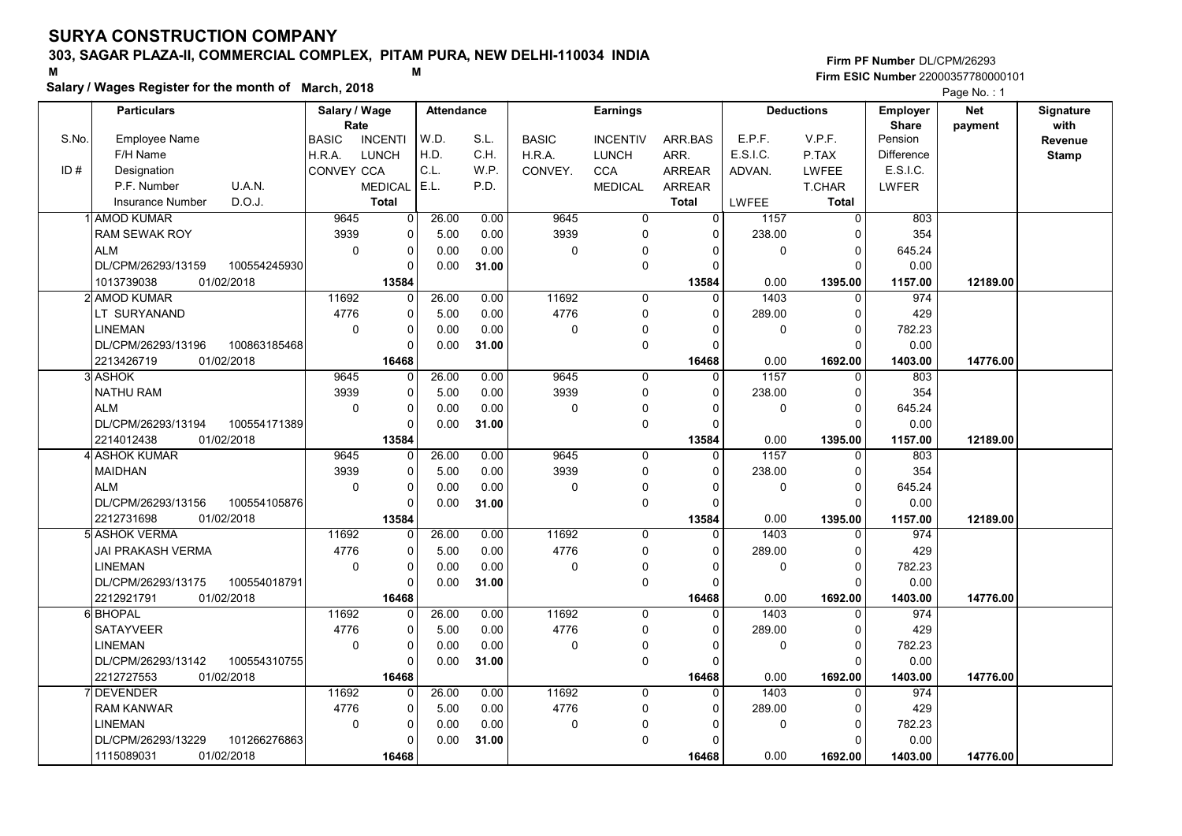# 303, SAGAR PLAZA-II, COMMERCIAL COMPLEX, PITAM PURA, NEW DELHI-110034 INDIA

#### Salary / Wages Register for the month of March, 2018

#### Firm PF Number DL/CPM/26293 M<br>M<br>A M Firm ESIC Number 22000357780000101

|       | <b>Particulars</b>       |              | Salary / Wage        |                | Attendance |       |              | <b>Earnings</b> |                |             | <b>Deductions</b> | Employer                | <b>Net</b> | Signature       |
|-------|--------------------------|--------------|----------------------|----------------|------------|-------|--------------|-----------------|----------------|-------------|-------------------|-------------------------|------------|-----------------|
| S.No. | Employee Name            |              | Rate<br><b>BASIC</b> | <b>INCENTI</b> | W.D.       | S.L.  | <b>BASIC</b> | <b>INCENTIV</b> | ARR.BAS        | E.P.F.      | V.P.F.            | <b>Share</b><br>Pension | payment    | with<br>Revenue |
|       | F/H Name                 |              | H.R.A.               | <b>LUNCH</b>   | H.D.       | C.H.  | H.R.A.       | <b>LUNCH</b>    | ARR.           | E.S.I.C.    | P.TAX             | <b>Difference</b>       |            | <b>Stamp</b>    |
| ID#   | Designation              |              | CONVEY CCA           |                | C.L.       | W.P.  | CONVEY.      | <b>CCA</b>      | <b>ARREAR</b>  | ADVAN.      | <b>LWFEE</b>      | E.S.I.C.                |            |                 |
|       | P.F. Number              | U.A.N.       |                      | <b>MEDICAL</b> | E.L.       | P.D.  |              | <b>MEDICAL</b>  | ARREAR         |             | T.CHAR            | LWFER                   |            |                 |
|       | <b>Insurance Number</b>  | D.O.J.       |                      | <b>Total</b>   |            |       |              |                 | <b>Total</b>   | LWFEE       | Total             |                         |            |                 |
|       | 1 AMOD KUMAR             |              | 9645                 | 0              | 26.00      | 0.00  | 9645         | 0               | $\overline{0}$ | 1157        | $\overline{0}$    | 803                     |            |                 |
|       | <b>RAM SEWAK ROY</b>     |              | 3939                 | 0              | 5.00       | 0.00  | 3939         | 0               | $\mathbf 0$    | 238.00      | $\Omega$          | 354                     |            |                 |
|       | <b>ALM</b>               |              | $\mathbf 0$          | 0              | 0.00       | 0.00  | 0            | $\mathbf 0$     | $\Omega$       | $\mathbf 0$ | $\Omega$          | 645.24                  |            |                 |
|       | DL/CPM/26293/13159       | 100554245930 |                      | $\Omega$       | 0.00       | 31.00 |              | $\mathbf 0$     | $\Omega$       |             | $\Omega$          | 0.00                    |            |                 |
|       | 01/02/2018<br>1013739038 |              |                      | 13584          |            |       |              |                 | 13584          | 0.00        | 1395.00           | 1157.00                 | 12189.00   |                 |
|       | 2 AMOD KUMAR             |              | 11692                | 0              | 26.00      | 0.00  | 11692        | 0               | $\Omega$       | 1403        | $\mathbf 0$       | 974                     |            |                 |
|       | LT SURYANAND             |              | 4776                 | 0              | 5.00       | 0.00  | 4776         | $\mathbf 0$     | 0              | 289.00      | $\mathbf 0$       | 429                     |            |                 |
|       | <b>LINEMAN</b>           |              | $\Omega$             | 0              | 0.00       | 0.00  | 0            | $\mathbf 0$     | $\Omega$       | 0           | $\overline{0}$    | 782.23                  |            |                 |
|       | DL/CPM/26293/13196       | 100863185468 |                      | $\Omega$       | 0.00       | 31.00 |              | $\Omega$        | $\Omega$       |             | $\Omega$          | 0.00                    |            |                 |
|       | 01/02/2018<br>2213426719 |              |                      | 16468          |            |       |              |                 | 16468          | 0.00        | 1692.00           | 1403.00                 | 14776.00   |                 |
|       | 3 ASHOK                  |              | 9645                 | 0              | 26.00      | 0.00  | 9645         | $\mathbf 0$     | $\mathbf 0$    | 1157        | 0                 | 803                     |            |                 |
|       | <b>NATHU RAM</b>         |              | 3939                 | 0              | 5.00       | 0.00  | 3939         | $\mathbf 0$     | $\Omega$       | 238.00      | $\Omega$          | 354                     |            |                 |
|       | <b>ALM</b>               |              | $\Omega$             | 0              | 0.00       | 0.00  | $\Omega$     | $\Omega$        | $\Omega$       | $\mathbf 0$ | $\overline{0}$    | 645.24                  |            |                 |
|       | DL/CPM/26293/13194       | 100554171389 |                      | 0              | 0.00       | 31.00 |              | $\mathbf 0$     | $\Omega$       |             | $\Omega$          | 0.00                    |            |                 |
|       | 01/02/2018<br>2214012438 |              |                      | 13584          |            |       |              |                 | 13584          | 0.00        | 1395.00           | 1157.00                 | 12189.00   |                 |
|       | 4 ASHOK KUMAR            |              | 9645                 | 0              | 26.00      | 0.00  | 9645         | $\mathbf 0$     | $\Omega$       | 1157        | $\Omega$          | 803                     |            |                 |
|       | <b>MAIDHAN</b>           |              | 3939                 | 0              | 5.00       | 0.00  | 3939         | $\mathbf 0$     | $\Omega$       | 238.00      | $\mathbf 0$       | 354                     |            |                 |
|       | <b>ALM</b>               |              | $\Omega$             | $\Omega$       | 0.00       | 0.00  | 0            | 0               | $\Omega$       | 0           | $\Omega$          | 645.24                  |            |                 |
|       | DL/CPM/26293/13156       | 100554105876 |                      | $\Omega$       | 0.00       | 31.00 |              | $\mathbf 0$     | $\Omega$       |             | $\Omega$          | 0.00                    |            |                 |
|       | 2212731698<br>01/02/2018 |              |                      | 13584          |            |       |              |                 | 13584          | 0.00        | 1395.00           | 1157.00                 | 12189.00   |                 |
|       | 5 ASHOK VERMA            |              | 11692                | 0              | 26.00      | 0.00  | 11692        | $\Omega$        | $\Omega$       | 1403        | $\Omega$          | 974                     |            |                 |
|       | JAI PRAKASH VERMA        |              | 4776                 | 0              | 5.00       | 0.00  | 4776         | $\mathbf 0$     | $\Omega$       | 289.00      | $\Omega$          | 429                     |            |                 |
|       | <b>LINEMAN</b>           |              | $\pmb{0}$            | 0              | 0.00       | 0.00  | 0            | 0               | $\Omega$       | 0           | $\mathbf 0$       | 782.23                  |            |                 |
|       | DL/CPM/26293/13175       | 100554018791 |                      | $\Omega$       | 0.00       | 31.00 |              | $\mathbf 0$     | $\Omega$       |             | $\Omega$          | 0.00                    |            |                 |
|       | 2212921791<br>01/02/2018 |              |                      | 16468          |            |       |              |                 | 16468          | 0.00        | 1692.00           | 1403.00                 | 14776.00   |                 |
|       | 6 BHOPAL                 |              | 11692                | $\Omega$       | 26.00      | 0.00  | 11692        | $\Omega$        | $\Omega$       | 1403        | $\Omega$          | 974                     |            |                 |
|       | <b>SATAYVEER</b>         |              | 4776                 | 0              | 5.00       | 0.00  | 4776         | 0               | $\Omega$       | 289.00      | $\mathbf 0$       | 429                     |            |                 |
|       | <b>LINEMAN</b>           |              | $\mathbf 0$          | 0              | 0.00       | 0.00  | 0            | 0               | 0              | 0           | $\mathbf 0$       | 782.23                  |            |                 |
|       | DL/CPM/26293/13142       | 100554310755 |                      | $\Omega$       | 0.00       | 31.00 |              | $\Omega$        | $\Omega$       |             | $\Omega$          | 0.00                    |            |                 |
|       | 2212727553<br>01/02/2018 |              |                      | 16468          |            |       |              |                 | 16468          | 0.00        | 1692.00           | 1403.00                 | 14776.00   |                 |
|       | 7DEVENDER                |              | 11692                | 0              | 26.00      | 0.00  | 11692        | $\mathbf 0$     | $\Omega$       | 1403        | $\Omega$          | 974                     |            |                 |
|       | <b>RAM KANWAR</b>        |              | 4776                 | 0              | 5.00       | 0.00  | 4776         | $\mathbf 0$     | $\mathbf 0$    | 289.00      | $\mathbf 0$       | 429                     |            |                 |
|       | <b>LINEMAN</b>           |              | $\mathbf 0$          | 0              | 0.00       | 0.00  | 0            | 0               | $\Omega$       | 0           | $\Omega$          | 782.23                  |            |                 |
|       | DL/CPM/26293/13229       | 101266276863 |                      | $\Omega$       | 0.00       | 31.00 |              | $\Omega$        | $\Omega$       |             | $\Omega$          | 0.00                    |            |                 |
|       | 1115089031<br>01/02/2018 |              |                      | 16468          |            |       |              |                 | 16468          | 0.00        | 1692.00           | 1403.00                 | 14776.00   |                 |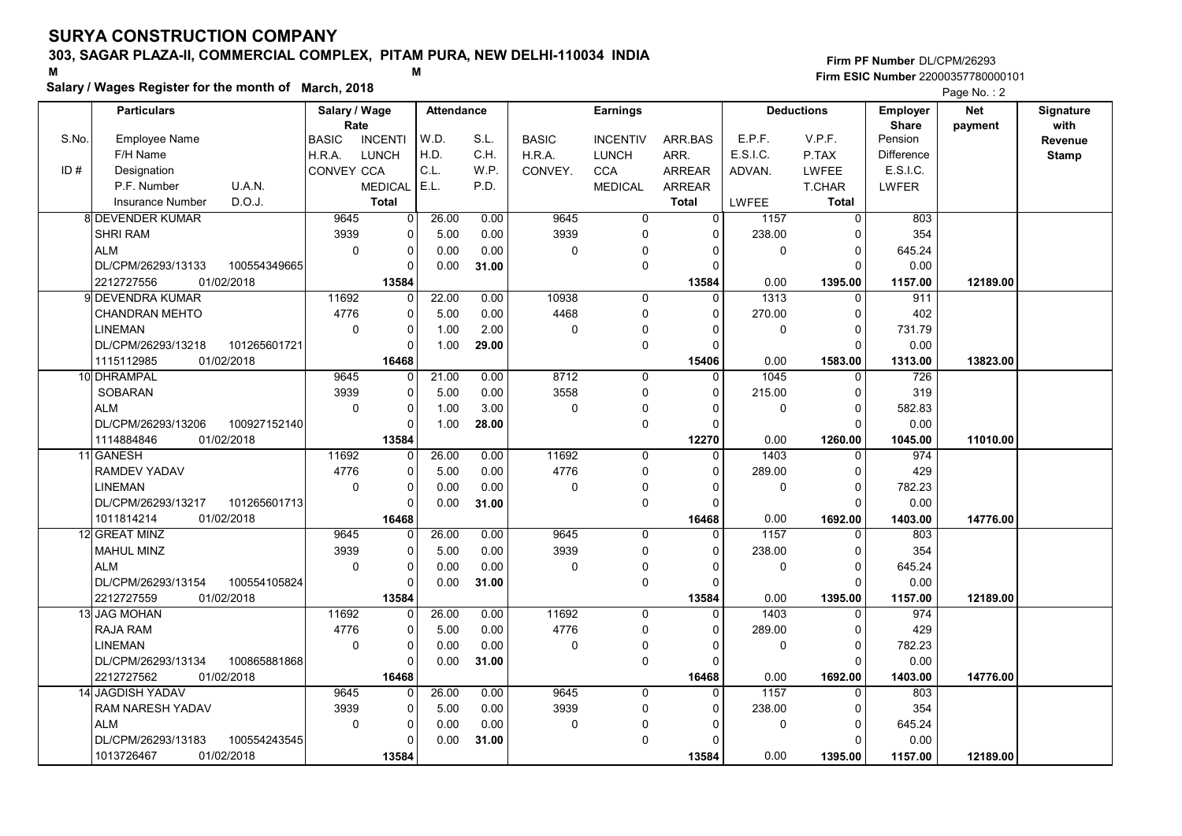# 303, SAGAR PLAZA-II, COMMERCIAL COMPLEX, PITAM PURA, NEW DELHI-110034 INDIA

#### Salary / Wages Register for the month of March, 2018

|       | Salary / wages Register for the month of March, 2018 |                                |                   |       |              |                 |                |          |                   |                 | Page No.: 2 |              |
|-------|------------------------------------------------------|--------------------------------|-------------------|-------|--------------|-----------------|----------------|----------|-------------------|-----------------|-------------|--------------|
|       | <b>Particulars</b>                                   | Salary / Wage                  | <b>Attendance</b> |       |              | <b>Earnings</b> |                |          | <b>Deductions</b> | <b>Employer</b> | <b>Net</b>  | Signature    |
|       |                                                      | Rate                           |                   |       |              |                 |                |          |                   | <b>Share</b>    | payment     | with         |
| S.No. | Employee Name                                        | <b>BASIC</b><br><b>INCENTI</b> | W.D.              | S.L.  | <b>BASIC</b> | <b>INCENTIV</b> | ARR.BAS        | E.P.F.   | V.P.F.            | Pension         |             | Revenue      |
|       | F/H Name                                             | <b>LUNCH</b><br>H.R.A.         | H.D.              | C.H.  | H.R.A.       | <b>LUNCH</b>    | ARR.           | E.S.I.C. | P.TAX             | Difference      |             | <b>Stamp</b> |
| ID#   | Designation                                          | CONVEY CCA                     | C.L.              | WP.   | CONVEY.      | <b>CCA</b>      | <b>ARREAR</b>  | ADVAN.   | LWFEE             | E.S.I.C.        |             |              |
|       | U.A.N.<br>P.F. Number                                | <b>MEDICAL</b>                 | E.L.              | P.D.  |              | <b>MEDICAL</b>  | <b>ARREAR</b>  |          | T.CHAR            | <b>LWFER</b>    |             |              |
|       | D.O.J.<br><b>Insurance Number</b>                    | <b>Total</b>                   |                   |       |              |                 | <b>Total</b>   | LWFEE    | <b>Total</b>      |                 |             |              |
|       | 8 DEVENDER KUMAR                                     | 9645                           | 26.00<br>0        | 0.00  | 9645         | $\overline{0}$  | $\overline{0}$ | 1157     | $\overline{0}$    | 803             |             |              |
|       | <b>SHRI RAM</b>                                      | 3939                           | 5.00<br>0         | 0.00  | 3939         | 0               | $\Omega$       | 238.00   | U                 | 354             |             |              |
|       | <b>ALM</b>                                           | $\mathbf 0$                    | 0.00<br>0         | 0.00  | $\mathbf 0$  | $\Omega$        | 0              | 0        | 0                 | 645.24          |             |              |
|       | DL/CPM/26293/13133<br>100554349665                   |                                | U<br>0.00         | 31.00 |              | $\Omega$        | $\Omega$       |          | $\Omega$          | 0.00            |             |              |
|       | 2212727556<br>01/02/2018                             | 13584                          |                   |       |              |                 | 13584          | 0.00     | 1395.00           | 1157.00         | 12189.00    |              |
|       | 9 DEVENDRA KUMAR                                     | 11692                          | 22.00<br>$\Omega$ | 0.00  | 10938        | $\mathbf 0$     | $\Omega$       | 1313     | $\Omega$          | 911             |             |              |
|       | <b>CHANDRAN MEHTO</b>                                | 4776                           | 0<br>5.00         | 0.00  | 4468         | $\mathbf 0$     | 0              | 270.00   | $\Omega$          | 402             |             |              |
|       | <b>LINEMAN</b>                                       | $\mathbf 0$                    | 1.00<br>0         | 2.00  | $\mathbf 0$  | 0               | $\Omega$       | 0        | $\Omega$          | 731.79          |             |              |
|       | DL/CPM/26293/13218<br>101265601721                   |                                | 1.00<br>0         | 29.00 |              | $\mathbf 0$     | $\Omega$       |          | $\Omega$          | 0.00            |             |              |
|       | 1115112985<br>01/02/2018                             | 16468                          |                   |       |              |                 | 15406          | 0.00     | 1583.00           | 1313.00         | 13823.00    |              |
|       | 10 DHRAMPAL                                          | 9645                           | 21.00<br>$\Omega$ | 0.00  | 8712         | $\mathbf 0$     | $\Omega$       | 1045     | $\Omega$          | 726             |             |              |
|       | <b>SOBARAN</b>                                       | 3939                           | 0<br>5.00         | 0.00  | 3558         | $\mathbf 0$     | $\Omega$       | 215.00   | $\Omega$          | 319             |             |              |
|       | <b>ALM</b>                                           | $\mathbf 0$                    | 0<br>1.00         | 3.00  | $\mathbf 0$  | 0               | $\Omega$       | 0        | $\Omega$          | 582.83          |             |              |
|       | 100927152140<br>DL/CPM/26293/13206                   |                                | 1.00<br>0         | 28.00 |              | $\mathbf 0$     | $\Omega$       |          | $\Omega$          | 0.00            |             |              |
|       | 1114884846<br>01/02/2018                             | 13584                          |                   |       |              |                 | 12270          | 0.00     | 1260.00           | 1045.00         | 11010.00    |              |
|       | 11 GANESH                                            | 11692                          | 26.00<br>0        | 0.00  | 11692        | $\Omega$        | $\Omega$       | 1403     | $\Omega$          | 974             |             |              |
|       | <b>RAMDEV YADAV</b>                                  | 4776                           | 0<br>5.00         | 0.00  | 4776         | $\mathbf 0$     | $\Omega$       | 289.00   | $\Omega$          | 429             |             |              |
|       | <b>LINEMAN</b>                                       | $\mathbf 0$                    | 0<br>0.00         | 0.00  | $\mathbf 0$  | $\Omega$        | $\Omega$       | 0        | $\Omega$          | 782.23          |             |              |
|       | DL/CPM/26293/13217<br>101265601713                   |                                | U<br>0.00         | 31.00 |              | $\mathbf 0$     | $\Omega$       |          | $\Omega$          | 0.00            |             |              |
|       | 1011814214<br>01/02/2018                             | 16468                          |                   |       |              |                 | 16468          | 0.00     | 1692.00           | 1403.00         | 14776.00    |              |
|       | 12 GREAT MINZ                                        | 9645                           | 26.00<br>0        | 0.00  | 9645         | $\mathbf 0$     | $\Omega$       | 1157     | $\mathbf{0}$      | 803             |             |              |
|       | <b>MAHUL MINZ</b>                                    | 3939                           | 0<br>5.00         | 0.00  | 3939         | $\mathbf 0$     | 0              | 238.00   | $\Omega$          | 354             |             |              |
|       | <b>ALM</b>                                           | $\mathbf 0$                    | 0<br>0.00         | 0.00  | 0            | 0               | $\Omega$       | 0        | $\Omega$          | 645.24          |             |              |
|       | DL/CPM/26293/13154<br>100554105824                   |                                | 0<br>0.00         | 31.00 |              | $\mathbf 0$     | $\Omega$       |          | $\Omega$          | 0.00            |             |              |
|       | 2212727559<br>01/02/2018                             | 13584                          |                   |       |              |                 | 13584          | 0.00     | 1395.00           | 1157.00         | 12189.00    |              |
|       | 13 JAG MOHAN                                         | 11692                          | 26.00<br>0        | 0.00  | 11692        | $\Omega$        | $\Omega$       | 1403     | 0                 | 974             |             |              |
|       | <b>RAJA RAM</b>                                      | 4776                           | 0<br>5.00         | 0.00  | 4776         | $\mathbf 0$     | $\Omega$       | 289.00   | $\Omega$          | 429             |             |              |
|       | <b>LINEMAN</b>                                       | $\mathbf 0$                    | 0<br>0.00         | 0.00  | $\mathbf 0$  | 0               | $\Omega$       | 0        | $\Omega$          | 782.23          |             |              |
|       | DL/CPM/26293/13134<br>100865881868                   |                                | 0<br>0.00         | 31.00 |              | $\mathbf 0$     | $\Omega$       |          | $\Omega$          | 0.00            |             |              |
|       | 2212727562<br>01/02/2018                             | 16468                          |                   |       |              |                 | 16468          | 0.00     | 1692.00           | 1403.00         | 14776.00    |              |
|       | <b>14 JAGDISH YADAV</b>                              | 9645                           | 26.00<br>0        | 0.00  | 9645         | $\mathbf 0$     | $\Omega$       | 1157     | 0                 | 803             |             |              |
|       | <b>RAM NARESH YADAV</b>                              | 3939                           | 0<br>5.00         | 0.00  | 3939         | $\mathbf 0$     | 0              | 238.00   | $\Omega$          | 354             |             |              |
|       | <b>ALM</b>                                           | $\mathbf 0$                    | 0<br>0.00         | 0.00  | $\mathbf 0$  | 0               | $\Omega$       | 0        | 0                 | 645.24          |             |              |
|       | DL/CPM/26293/13183<br>100554243545                   |                                | 0<br>0.00         | 31.00 |              | 0               | $\Omega$       |          | $\Omega$          | 0.00            |             |              |
|       | 1013726467<br>01/02/2018                             | 13584                          |                   |       |              |                 | 13584          | 0.00     | 1395.00           | 1157.00         | 12189.00    |              |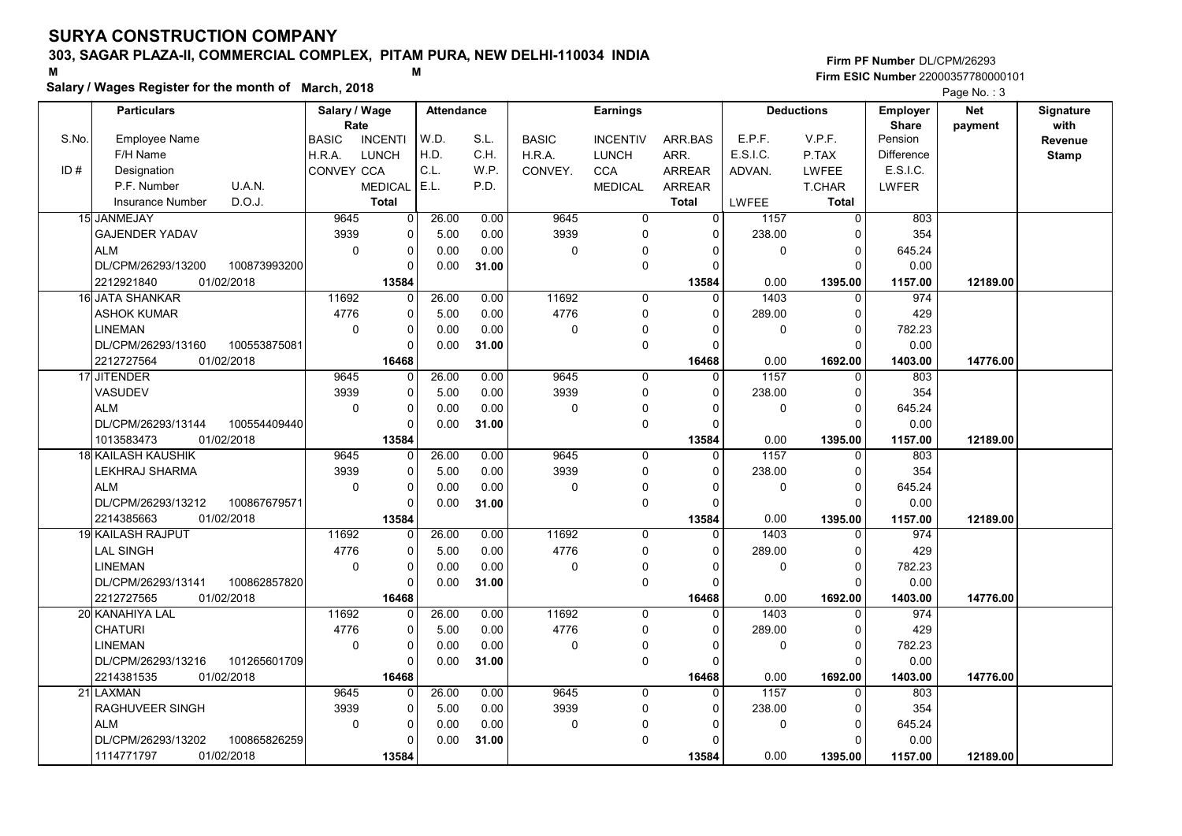# 303, SAGAR PLAZA-II, COMMERCIAL COMPLEX, PITAM PURA, NEW DELHI-110034 INDIA

#### Salary / Wages Register for the month of March, 2018

|       | Salary / wages Register for the month of March, 2018 |                                |                         |       |              |                 |                |          |                   |                   | Page No.: 3 |              |
|-------|------------------------------------------------------|--------------------------------|-------------------------|-------|--------------|-----------------|----------------|----------|-------------------|-------------------|-------------|--------------|
|       | <b>Particulars</b>                                   | Salary / Wage                  | <b>Attendance</b>       |       |              | <b>Earnings</b> |                |          | <b>Deductions</b> | <b>Employer</b>   | Net         | Signature    |
|       |                                                      | Rate                           |                         |       |              |                 |                |          |                   | <b>Share</b>      | payment     | with         |
| S.No. | <b>Employee Name</b>                                 | <b>BASIC</b><br><b>INCENTI</b> | W.D.                    | S.L.  | <b>BASIC</b> | <b>INCENTIV</b> | ARR BAS        | E.P.F.   | V.P.F.            | Pension           |             | Revenue      |
|       | F/H Name                                             | H.R.A.<br><b>LUNCH</b>         | H.D.                    | C.H.  | H.R.A.       | <b>LUNCH</b>    | ARR.           | E.S.I.C. | P.TAX             | <b>Difference</b> |             | <b>Stamp</b> |
| ID#   | Designation                                          | CONVEY CCA                     | C.L.                    | W.P.  | CONVEY.      | <b>CCA</b>      | <b>ARREAR</b>  | ADVAN.   | LWFEE             | E.S.I.C.          |             |              |
|       | U.A.N.<br>P.F. Number                                | <b>MEDICAL</b>                 | E.L.                    | P.D.  |              | <b>MEDICAL</b>  | <b>ARREAR</b>  |          | <b>T.CHAR</b>     | <b>LWFER</b>      |             |              |
|       | D.O.J.<br><b>Insurance Number</b>                    | <b>Total</b>                   |                         |       |              |                 | <b>Total</b>   | LWFEE    | <b>Total</b>      |                   |             |              |
|       | 15 JANMEJAY                                          | 9645                           | 26.00<br>0              | 0.00  | 9645         | $\overline{0}$  | $\overline{0}$ | 1157     | $\overline{0}$    | 803               |             |              |
|       | <b>GAJENDER YADAV</b>                                | 3939                           | 0<br>5.00               | 0.00  | 3939         | $\mathbf 0$     | $\Omega$       | 238.00   | $\cap$            | 354               |             |              |
|       | <b>ALM</b>                                           | $\mathbf 0$                    | 0<br>0.00               | 0.00  | 0            | $\mathbf 0$     | 0              | 0        | $\mathbf 0$       | 645.24            |             |              |
|       | DL/CPM/26293/13200<br>100873993200                   |                                | $\Omega$<br>0.00        | 31.00 |              | $\mathbf 0$     | $\Omega$       |          | $\Omega$          | 0.00              |             |              |
|       | 2212921840<br>01/02/2018                             | 13584                          |                         |       |              |                 | 13584          | 0.00     | 1395.00           | 1157.00           | 12189.00    |              |
|       | 16 JATA SHANKAR                                      | 11692                          | 26.00<br>0              | 0.00  | 11692        | 0               | 0              | 1403     | $\Omega$          | 974               |             |              |
|       | <b>ASHOK KUMAR</b>                                   | 4776                           | 5.00<br>0               | 0.00  | 4776         | $\mathbf 0$     | $\Omega$       | 289.00   | $\Omega$          | 429               |             |              |
|       | LINEMAN                                              | $\Omega$                       | 0<br>0.00               | 0.00  | $\Omega$     | $\mathbf 0$     | $\Omega$       | $\Omega$ | $\Omega$          | 782.23            |             |              |
|       | DL/CPM/26293/13160<br>100553875081                   |                                | $\overline{0}$<br>0.00  | 31.00 |              | $\pmb{0}$       | $\Omega$       |          | C                 | 0.00              |             |              |
|       | 2212727564<br>01/02/2018                             | 16468                          |                         |       |              |                 | 16468          | 0.00     | 1692.00           | 1403.00           | 14776.00    |              |
|       | 17 JITENDER                                          | 9645                           | 26.00<br>0              | 0.00  | 9645         | $\mathbf 0$     | 0              | 1157     | $\Omega$          | 803               |             |              |
|       | VASUDEV                                              | 3939                           | 0<br>5.00               | 0.00  | 3939         | $\mathbf 0$     | $\Omega$       | 238.00   | $\Omega$          | 354               |             |              |
|       | <b>ALM</b>                                           | $\Omega$                       | 0<br>0.00               | 0.00  | $\mathbf 0$  | 0               | 0              | 0        | $\Omega$          | 645.24            |             |              |
|       | 100554409440<br>DL/CPM/26293/13144                   |                                | 0.00<br>0               | 31.00 |              | $\mathbf 0$     | $\Omega$       |          | $\Omega$          | 0.00              |             |              |
|       | 1013583473<br>01/02/2018                             | 13584                          |                         |       |              |                 | 13584          | 0.00     | 1395.00           | 1157.00           | 12189.00    |              |
|       | 18 KAILASH KAUSHIK                                   | 9645                           | 26.00<br>0              | 0.00  | 9645         | $\Omega$        | $\Omega$       | 1157     | $\Omega$          | 803               |             |              |
|       | LEKHRAJ SHARMA                                       | 3939                           | 0<br>5.00               | 0.00  | 3939         | $\mathbf 0$     | $\Omega$       | 238.00   | $\Omega$          | 354               |             |              |
|       | <b>ALM</b>                                           | $\mathbf 0$                    | 0<br>0.00               | 0.00  | $\mathbf 0$  | $\Omega$        | 0              | 0        | $\Omega$          | 645.24            |             |              |
|       | DL/CPM/26293/13212<br>100867679571                   |                                | $\Omega$<br>0.00        | 31.00 |              | $\mathbf 0$     | $\Omega$       |          | $\Omega$          | 0.00              |             |              |
|       | 2214385663<br>01/02/2018                             | 13584                          |                         |       |              |                 | 13584          | 0.00     | 1395.00           | 1157.00           | 12189.00    |              |
|       | <b>19 KAILASH RAJPUT</b>                             | 11692                          | 26.00<br>$\Omega$       | 0.00  | 11692        | $\mathbf 0$     | $\Omega$       | 1403     | $\Omega$          | 974               |             |              |
|       | <b>LAL SINGH</b>                                     | 4776                           | 5.00<br>0               | 0.00  | 4776         | $\mathbf 0$     | $\Omega$       | 289.00   | $\Omega$          | 429               |             |              |
|       | <b>LINEMAN</b>                                       | $\mathbf 0$                    | 0<br>0.00               | 0.00  | $\mathbf 0$  | $\mathbf 0$     | $\Omega$       | 0        | $\Omega$          | 782.23            |             |              |
|       | DL/CPM/26293/13141<br>100862857820                   |                                | 0<br>0.00               | 31.00 |              | $\mathbf 0$     | $\Omega$       |          | $\Omega$          | 0.00              |             |              |
|       | 2212727565<br>01/02/2018                             | 16468                          |                         |       |              |                 | 16468          | 0.00     | 1692.00           | 1403.00           | 14776.00    |              |
|       | 20 KANAHIYA LAL                                      | 11692                          | 26.00<br>$\overline{0}$ | 0.00  | 11692        | 0               | $\Omega$       | 1403     | $\Omega$          | 974               |             |              |
|       | <b>CHATURI</b>                                       | 4776                           | 0<br>5.00               | 0.00  | 4776         | $\mathbf 0$     | $\Omega$       | 289.00   | $\Omega$          | 429               |             |              |
|       | LINEMAN                                              | $\Omega$                       | 0<br>0.00               | 0.00  | 0            | $\mathbf 0$     | $\Omega$       | 0        | $\Omega$          | 782.23            |             |              |
|       | 101265601709<br>DL/CPM/26293/13216                   |                                | 0<br>0.00               | 31.00 |              | $\mathbf 0$     | $\Omega$       |          | $\Omega$          | 0.00              |             |              |
|       | 2214381535<br>01/02/2018                             | 16468                          |                         |       |              |                 | 16468          | 0.00     | 1692.00           | 1403.00           | 14776.00    |              |
|       | 21 LAXMAN                                            | 9645                           | 26.00<br>$\Omega$       | 0.00  | 9645         | $\mathbf 0$     | 0              | 1157     | $\Omega$          | 803               |             |              |
|       | RAGHUVEER SINGH                                      | 3939                           | 0<br>5.00               | 0.00  | 3939         | 0               | 0              | 238.00   | $\Omega$          | 354               |             |              |
|       | <b>ALM</b>                                           | $\mathbf 0$                    | 0<br>0.00               | 0.00  | $\mathbf 0$  | $\Omega$        | O              | 0        | $\Omega$          | 645.24            |             |              |
|       | DL/CPM/26293/13202<br>100865826259                   |                                | 0<br>0.00               | 31.00 |              | $\mathbf 0$     | $\Omega$       |          | $\cap$            | 0.00              |             |              |
|       | 01/02/2018<br>1114771797                             | 13584                          |                         |       |              |                 | 13584          | 0.00     | 1395.00           | 1157.00           | 12189.00    |              |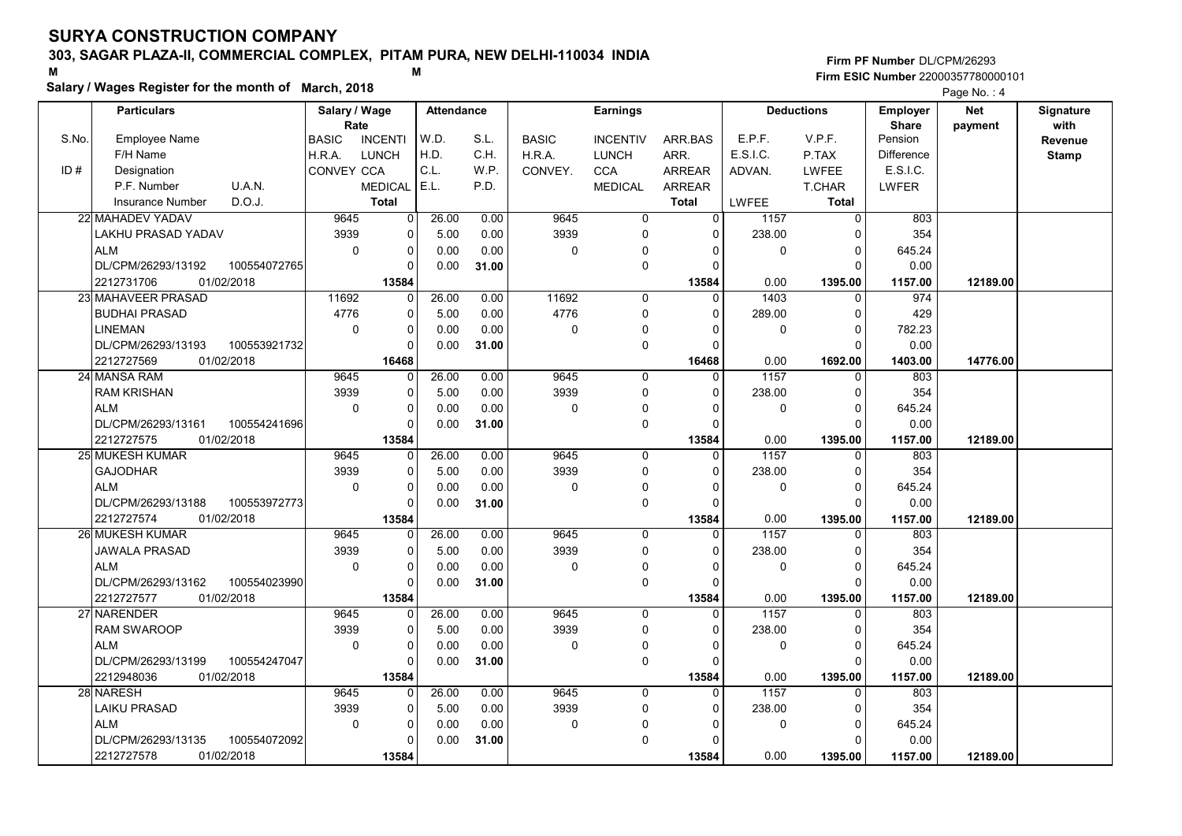# 303, SAGAR PLAZA-II, COMMERCIAL COMPLEX, PITAM PURA, NEW DELHI-110034 INDIA

#### Salary / Wages Register for the month of March, 2018

|       | Salary / wages Register for the month of March, 2018 |                        |                |                   |       |              |                 |                |              |                   |                 | Page No.: 4 |              |
|-------|------------------------------------------------------|------------------------|----------------|-------------------|-------|--------------|-----------------|----------------|--------------|-------------------|-----------------|-------------|--------------|
|       | <b>Particulars</b>                                   | Salary / Wage          |                | <b>Attendance</b> |       |              | <b>Earnings</b> |                |              | <b>Deductions</b> | <b>Employer</b> | <b>Net</b>  | Signature    |
|       |                                                      | Rate                   |                |                   |       |              |                 |                |              |                   | <b>Share</b>    | payment     | with         |
| S.No. | Employee Name                                        | <b>BASIC</b>           | <b>INCENTI</b> | W.D.              | S.L.  | <b>BASIC</b> | <b>INCENTIV</b> | ARR BAS        | E.P.F.       | V.P.F.            | Pension         |             | Revenue      |
|       | F/H Name                                             | <b>LUNCH</b><br>H.R.A. |                | H.D.              | C.H.  | H.R.A.       | <b>LUNCH</b>    | ARR.           | E.S.I.C.     | P.TAX             | Difference      |             | <b>Stamp</b> |
| ID#   | Designation                                          | CONVEY CCA             |                | C.L.              | W.P.  | CONVEY.      | <b>CCA</b>      | <b>ARREAR</b>  | ADVAN.       | <b>LWFEE</b>      | E.S.I.C.        |             |              |
|       | U.A.N.<br>P.F. Number                                |                        | <b>MEDICAL</b> | E.L.              | P.D.  |              | <b>MEDICAL</b>  | <b>ARREAR</b>  |              | <b>T.CHAR</b>     | <b>LWFER</b>    |             |              |
|       | D.O.J.<br><b>Insurance Number</b>                    |                        | <b>Total</b>   |                   |       |              |                 | <b>Total</b>   | <b>LWFEE</b> | <b>Total</b>      |                 |             |              |
|       | 22 MAHADEV YADAV                                     | 9645                   | $\overline{0}$ | 26.00             | 0.00  | 9645         | $\overline{0}$  | $\overline{0}$ | 1157         | $\overline{0}$    | 803             |             |              |
|       | LAKHU PRASAD YADAV                                   | 3939                   | 0              | 5.00              | 0.00  | 3939         | $\mathbf 0$     | $\Omega$       | 238.00       | $\Omega$          | 354             |             |              |
|       | <b>ALM</b>                                           | $\mathbf 0$            | 0              | 0.00              | 0.00  | 0            | $\Omega$        | $\Omega$       | 0            | 0                 | 645.24          |             |              |
|       | DL/CPM/26293/13192<br>100554072765                   |                        | $\Omega$       | 0.00              | 31.00 |              | $\Omega$        | $\Omega$       |              | $\Omega$          | 0.00            |             |              |
|       | 2212731706<br>01/02/2018                             |                        | 13584          |                   |       |              |                 | 13584          | 0.00         | 1395.00           | 1157.00         | 12189.00    |              |
|       | 23 MAHAVEER PRASAD                                   | 11692                  | $\Omega$       | 26.00             | 0.00  | 11692        | 0               | $\Omega$       | 1403         | $\Omega$          | 974             |             |              |
|       | <b>BUDHAI PRASAD</b>                                 | 4776                   | 0              | 5.00              | 0.00  | 4776         | $\Omega$        | $\Omega$       | 289.00       | $\Omega$          | 429             |             |              |
|       | <b>LINEMAN</b>                                       | $\mathbf 0$            | 0              | 0.00              | 0.00  | 0            | $\mathbf 0$     | $\Omega$       | 0            | $\Omega$          | 782.23          |             |              |
|       | DL/CPM/26293/13193<br>100553921732                   |                        | $\Omega$       | 0.00              | 31.00 |              | $\mathbf 0$     | $\Omega$       |              | $\Omega$          | 0.00            |             |              |
|       | 2212727569<br>01/02/2018                             |                        | 16468          |                   |       |              |                 | 16468          | 0.00         | 1692.00           | 1403.00         | 14776.00    |              |
|       | 24 MANSA RAM                                         | 9645                   | 0              | 26.00             | 0.00  | 9645         | $\mathbf 0$     | $\mathbf{0}$   | 1157         | $\Omega$          | 803             |             |              |
|       | <b>RAM KRISHAN</b>                                   | 3939                   | $\Omega$       | 5.00              | 0.00  | 3939         | $\mathbf 0$     | $\Omega$       | 238.00       | $\Omega$          | 354             |             |              |
|       | <b>ALM</b>                                           | $\mathbf 0$            | 0              | 0.00              | 0.00  | 0            | 0               | $\Omega$       | 0            | $\Omega$          | 645.24          |             |              |
|       | DL/CPM/26293/13161<br>100554241696                   |                        | $\Omega$       | 0.00              | 31.00 |              | $\mathbf 0$     | $\Omega$       |              | $\Omega$          | 0.00            |             |              |
|       | 2212727575<br>01/02/2018                             |                        | 13584          |                   |       |              |                 | 13584          | 0.00         | 1395.00           | 1157.00         | 12189.00    |              |
|       | 25 MUKESH KUMAR                                      | 9645                   | 0              | 26.00             | 0.00  | 9645         | $\mathbf 0$     | $\Omega$       | 1157         | $\Omega$          | 803             |             |              |
|       | <b>GAJODHAR</b>                                      | 3939                   | 0              | 5.00              | 0.00  | 3939         | $\mathbf 0$     | $\Omega$       | 238.00       | $\Omega$          | 354             |             |              |
|       | <b>ALM</b>                                           | $\mathbf 0$            | 0              | 0.00              | 0.00  | $\mathbf 0$  | $\Omega$        | $\Omega$       | 0            | $\mathbf 0$       | 645.24          |             |              |
|       | DL/CPM/26293/13188<br>100553972773                   |                        | U              | 0.00              | 31.00 |              | $\mathbf 0$     | 0              |              | $\Omega$          | 0.00            |             |              |
|       | 2212727574<br>01/02/2018                             |                        | 13584          |                   |       |              |                 | 13584          | 0.00         | 1395.00           | 1157.00         | 12189.00    |              |
|       | 26 MUKESH KUMAR                                      | 9645                   | 0              | 26.00             | 0.00  | 9645         | $\mathbf 0$     | $\mathbf 0$    | 1157         | $\mathbf 0$       | 803             |             |              |
|       | <b>JAWALA PRASAD</b>                                 | 3939                   | 0              | 5.00              | 0.00  | 3939         | $\mathbf 0$     | $\Omega$       | 238.00       | $\Omega$          | 354             |             |              |
|       | <b>ALM</b>                                           | $\Omega$               | $\Omega$       | 0.00              | 0.00  | 0            | $\mathbf 0$     | $\Omega$       | 0            | $\Omega$          | 645.24          |             |              |
|       | DL/CPM/26293/13162<br>100554023990                   |                        | 0              | 0.00              | 31.00 |              | $\mathbf 0$     | $\Omega$       |              | $\mathsf{C}$      | 0.00            |             |              |
|       | 2212727577<br>01/02/2018                             |                        | 13584          |                   |       |              |                 | 13584          | 0.00         | 1395.00           | 1157.00         | 12189.00    |              |
|       | 27 NARENDER                                          | 9645                   | O              | 26.00             | 0.00  | 9645         | $\Omega$        | $\Omega$       | 1157         | $\Omega$          | 803             |             |              |
|       | <b>RAM SWAROOP</b>                                   | 3939                   | $\Omega$       | 5.00              | 0.00  | 3939         | $\mathbf 0$     | $\Omega$       | 238.00       | $\Omega$          | 354             |             |              |
|       | <b>ALM</b>                                           | $\Omega$               | $\Omega$       | 0.00              | 0.00  | 0            | $\mathbf 0$     | $\Omega$       | 0            | $\Omega$          | 645.24          |             |              |
|       | DL/CPM/26293/13199<br>100554247047                   |                        | $\Omega$       | 0.00              | 31.00 |              | $\mathbf 0$     | $\Omega$       |              | $\Omega$          | 0.00            |             |              |
|       | 2212948036<br>01/02/2018                             |                        | 13584          |                   |       |              |                 | 13584          | 0.00         | 1395.00           | 1157.00         | 12189.00    |              |
|       | 28 NARESH                                            | 9645                   | 0              | 26.00             | 0.00  | 9645         | $\Omega$        | $\Omega$       | 1157         | $\Omega$          | 803             |             |              |
|       | <b>LAIKU PRASAD</b>                                  | 3939                   | 0              | 5.00              | 0.00  | 3939         | $\mathbf 0$     | $\Omega$       | 238.00       | 0                 | 354             |             |              |
|       | <b>ALM</b>                                           | $\mathbf 0$            | 0              | 0.00              | 0.00  | 0            | $\Omega$        | 0              | 0            | $\Omega$          | 645.24          |             |              |
|       | DL/CPM/26293/13135<br>100554072092                   |                        | U              | 0.00              | 31.00 |              | $\Omega$        | $\Omega$       |              | $\Omega$          | 0.00            |             |              |
|       | 2212727578<br>01/02/2018                             |                        | 13584          |                   |       |              |                 | 13584          | 0.00         | 1395.00           | 1157.00         | 12189.00    |              |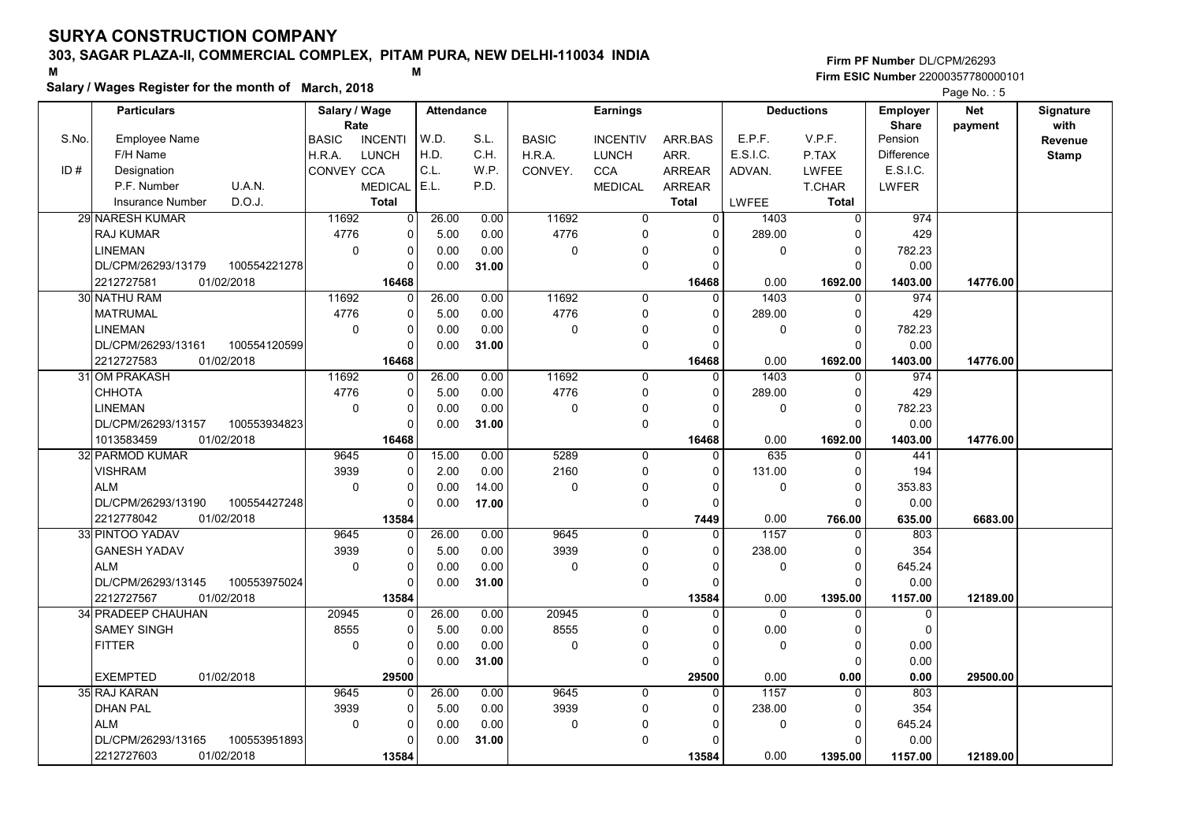# 303, SAGAR PLAZA-II, COMMERCIAL COMPLEX, PITAM PURA, NEW DELHI-110034 INDIA

#### Salary / Wages Register for the month of March, 2018

|       | Salary / wages Register for the month of March, 2018 |                                |          |                   |       |              |                     |                |                |                   |                 | Page No.: 5 |              |
|-------|------------------------------------------------------|--------------------------------|----------|-------------------|-------|--------------|---------------------|----------------|----------------|-------------------|-----------------|-------------|--------------|
|       | <b>Particulars</b>                                   | Salary / Wage                  |          | <b>Attendance</b> |       |              | <b>Earnings</b>     |                |                | <b>Deductions</b> | <b>Employer</b> | <b>Net</b>  | Signature    |
|       |                                                      | Rate                           |          |                   |       |              |                     |                |                |                   | <b>Share</b>    | payment     | with         |
| S.No. | Employee Name                                        | <b>BASIC</b><br><b>INCENTI</b> |          | W.D.              | S.L.  | <b>BASIC</b> | <b>INCENTIV</b>     | ARR.BAS        | E.P.F.         | V.P.F.            | Pension         |             | Revenue      |
|       | F/H Name                                             | <b>LUNCH</b><br>H.R.A.         |          | H.D.              | C.H.  | H.R.A.       | <b>LUNCH</b>        | ARR.           | E.S.I.C.       | P.TAX             | Difference      |             | <b>Stamp</b> |
| ID#   | Designation                                          | CONVEY CCA                     |          | C.L.              | WP.   | CONVEY.      | <b>CCA</b>          | <b>ARREAR</b>  | ADVAN.         | LWFEE             | E.S.I.C.        |             |              |
|       | U.A.N.<br>P.F. Number                                | <b>MEDICAL</b>                 |          | E.L.              | P.D.  |              | <b>MEDICAL</b>      | <b>ARREAR</b>  |                | T.CHAR            | <b>LWFER</b>    |             |              |
|       | D.O.J.<br><b>Insurance Number</b>                    | <b>Total</b>                   |          |                   |       |              |                     | <b>Total</b>   | LWFEE          | <b>Total</b>      |                 |             |              |
|       | <b>29 NARESH KUMAR</b>                               | 11692                          | 0        | 26.00             | 0.00  | 11692        | $\overline{0}$      | $\overline{0}$ | 1403           | $\overline{0}$    | 974             |             |              |
|       | <b>RAJ KUMAR</b>                                     | 4776                           | 0        | 5.00              | 0.00  | 4776         | 0                   | $\Omega$       | 289.00         | $\Omega$          | 429             |             |              |
|       | <b>LINEMAN</b>                                       | $\mathbf 0$                    | 0        | 0.00              | 0.00  | 0            | $\mathbf{0}$        | 0              | 0              | 0                 | 782.23          |             |              |
|       | DL/CPM/26293/13179<br>100554221278                   |                                | U        | 0.00              | 31.00 |              | $\mathbf 0$         | $\Omega$       |                | $\Omega$          | 0.00            |             |              |
|       | 2212727581<br>01/02/2018                             |                                | 16468    |                   |       |              |                     | 16468          | 0.00           | 1692.00           | 1403.00         | 14776.00    |              |
|       | 30 NATHU RAM                                         | 11692                          | 0        | 26.00             | 0.00  | 11692        | $\mathbf 0$         | $\Omega$       | 1403           | 0                 | 974             |             |              |
|       | <b>MATRUMAL</b>                                      | 4776                           | 0        | 5.00              | 0.00  | 4776         | $\mathbf 0$         | $\Omega$       | 289.00         | $\Omega$          | 429             |             |              |
|       | <b>LINEMAN</b>                                       | $\mathbf 0$                    | 0        | 0.00              | 0.00  | $\mathbf 0$  | $\mathbf 0$         | $\Omega$       | 0              | $\Omega$          | 782.23          |             |              |
|       | DL/CPM/26293/13161<br>100554120599                   |                                | $\Omega$ | 0.00              | 31.00 |              | $\mathbf 0$         | $\Omega$       |                | $\Omega$          | 0.00            |             |              |
|       | 2212727583<br>01/02/2018                             |                                | 16468    |                   |       |              |                     | 16468          | 0.00           | 1692.00           | 1403.00         | 14776.00    |              |
|       | 31 OM PRAKASH                                        | 11692                          | 0        | 26.00             | 0.00  | 11692        | $\mathbf 0$         | $\Omega$       | 1403           | $\Omega$          | 974             |             |              |
|       | CHHOTA                                               | 4776                           | $\Omega$ | 5.00              | 0.00  | 4776         | $\mathbf 0$         | $\Omega$       | 289.00         | $\Omega$          | 429             |             |              |
|       | <b>LINEMAN</b>                                       | $\mathbf 0$                    | 0        | 0.00              | 0.00  | $\mathbf 0$  | 0                   | $\Omega$       | 0              | 0                 | 782.23          |             |              |
|       | DL/CPM/26293/13157<br>100553934823                   |                                | 0        | 0.00              | 31.00 |              | $\mathbf 0$         | $\Omega$       |                | $\Omega$          | 0.00            |             |              |
|       | 01/02/2018<br>1013583459                             |                                | 16468    |                   |       |              |                     | 16468          | 0.00           | 1692.00           | 1403.00         | 14776.00    |              |
|       | 32 PARMOD KUMAR                                      | 9645                           | 0        | 15.00             | 0.00  | 5289         | $\mathbf 0$         | $\Omega$       | 635            | $\Omega$          | 441             |             |              |
|       | <b>VISHRAM</b>                                       | 3939                           | $\Omega$ | 2.00              | 0.00  | 2160         | $\mathbf 0$         | $\Omega$       | 131.00         | $\Omega$          | 194             |             |              |
|       | <b>ALM</b>                                           | $\mathbf 0$                    | 0        | 0.00              | 14.00 | 0            | $\Omega$            | $\Omega$       | 0              | $\Omega$          | 353.83          |             |              |
|       | DL/CPM/26293/13190<br>100554427248                   |                                | O        | 0.00              | 17.00 |              | $\mathbf 0$         | $\Omega$       |                | $\Omega$          | 0.00            |             |              |
|       | 2212778042<br>01/02/2018                             |                                | 13584    |                   |       |              |                     | 7449           | 0.00           | 766.00            | 635.00          | 6683.00     |              |
|       | 33 PINTOO YADAV                                      | 9645                           | 0        | 26.00             | 0.00  | 9645         | $\mathbf 0$         | $\mathbf 0$    | 1157           | 0                 | 803             |             |              |
|       | <b>GANESH YADAV</b>                                  | 3939                           | 0        | 5.00              | 0.00  | 3939         | 0                   | 0              | 238.00         | $\Omega$          | 354             |             |              |
|       | <b>ALM</b>                                           | $\mathbf 0$                    | $\Omega$ | 0.00              | 0.00  | $\mathbf 0$  | 0                   | $\Omega$       | 0              | $\Omega$          | 645.24          |             |              |
|       | DL/CPM/26293/13145<br>100553975024                   |                                | 0        | 0.00              | 31.00 |              | $\mathbf 0$         | $\Omega$       |                | U                 | 0.00            |             |              |
|       | 2212727567<br>01/02/2018                             |                                | 13584    |                   |       |              |                     | 13584          | 0.00           | 1395.00           | 1157.00         | 12189.00    |              |
|       | 34 PRADEEP CHAUHAN                                   | 20945                          | U        | 26.00             | 0.00  | 20945        | $\Omega$            | $\Omega$       | $\overline{0}$ | $\Omega$          | $\mathbf{0}$    |             |              |
|       | <b>SAMEY SINGH</b>                                   | 8555                           | 0        | 5.00              | 0.00  | 8555         | $\mathsf{O}\xspace$ | $\Omega$       | 0.00           | $\Omega$          | $\mathbf 0$     |             |              |
|       | <b>FITTER</b>                                        | $\mathbf 0$                    | $\Omega$ | 0.00              | 0.00  | $\mathbf 0$  | 0                   | $\Omega$       | 0              | $\Omega$          | 0.00            |             |              |
|       |                                                      |                                | U        | 0.00              | 31.00 |              | $\mathbf 0$         | $\Omega$       |                | $\Omega$          | 0.00            |             |              |
|       | <b>EXEMPTED</b><br>01/02/2018                        |                                | 29500    |                   |       |              |                     | 29500          | 0.00           | 0.00              | 0.00            | 29500.00    |              |
|       | 35 RAJ KARAN                                         | 9645                           | O        | 26.00             | 0.00  | 9645         | $\mathbf{0}$        | $\Omega$       | 1157           | $\Omega$          | 803             |             |              |
|       | <b>DHAN PAL</b>                                      | 3939                           | 0        | 5.00              | 0.00  | 3939         | 0                   | 0              | 238.00         | 0                 | 354             |             |              |
|       | <b>ALM</b>                                           | $\Omega$                       | 0        | 0.00              | 0.00  | $\mathbf 0$  | $\Omega$            | $\Omega$       | 0              | $\Omega$          | 645.24          |             |              |
|       | DL/CPM/26293/13165<br>100553951893                   |                                | 0        | 0.00              | 31.00 |              | $\mathbf 0$         | $\Omega$       |                | $\Omega$          | 0.00            |             |              |
|       | 2212727603<br>01/02/2018                             |                                | 13584    |                   |       |              |                     | 13584          | 0.00           | 1395.00           | 1157.00         | 12189.00    |              |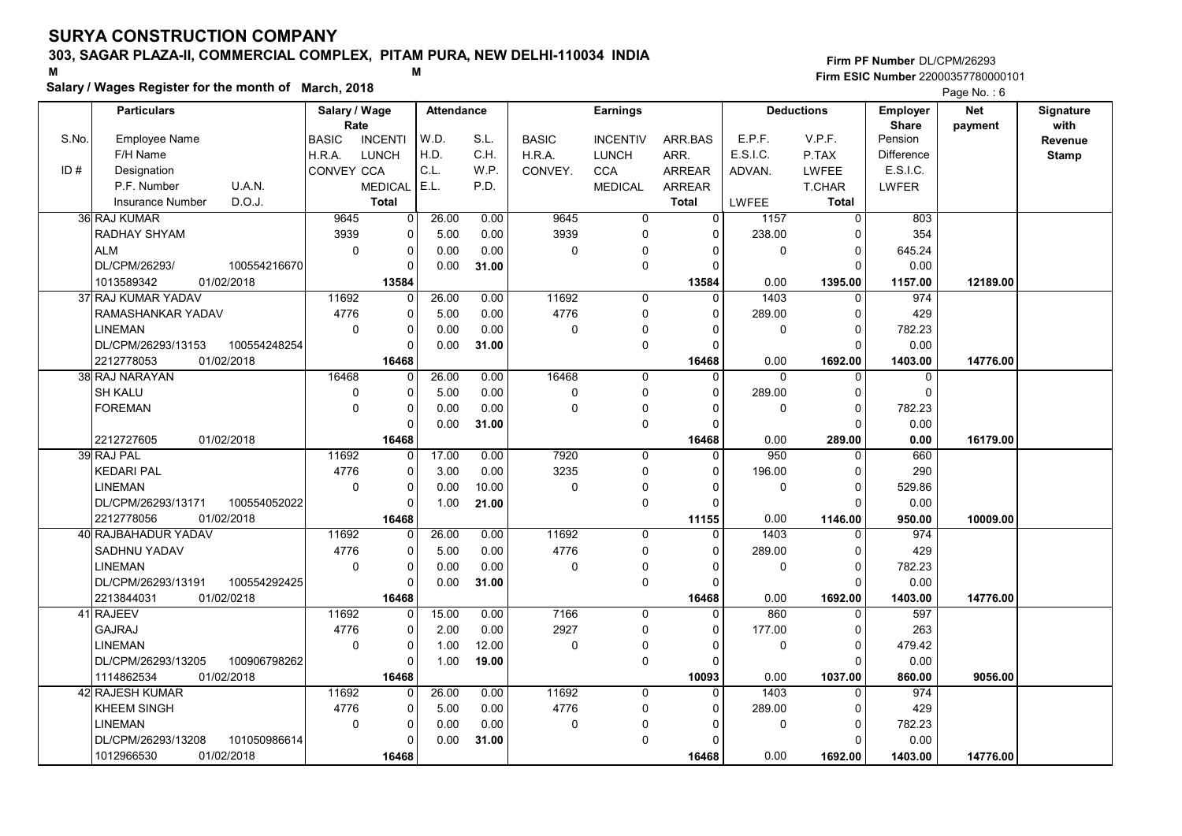# 303, SAGAR PLAZA-II, COMMERCIAL COMPLEX, PITAM PURA, NEW DELHI-110034 INDIA

#### Salary / Wages Register for the month of March, 2018

#### Firm PF Number DL/CPM/26293 M<br>M<br>A M Firm ESIC Number 22000357780000101

|       | <b>Particulars</b>                               | Salary / Wage<br>Rate |                      | <b>Attendance</b> |       |              | <b>Earnings</b>     |                      |          | <b>Deductions</b>       | Employer<br><b>Share</b> | <b>Net</b> | Signature<br>with |
|-------|--------------------------------------------------|-----------------------|----------------------|-------------------|-------|--------------|---------------------|----------------------|----------|-------------------------|--------------------------|------------|-------------------|
| S.No. | Employee Name                                    | <b>BASIC</b>          | <b>INCENTI</b>       | W.D.              | S.L.  | <b>BASIC</b> | <b>INCENTIV</b>     | ARR.BAS              | E.P.F.   | V.P.F.                  | Pension                  | payment    | Revenue           |
|       | F/H Name                                         | H.R.A.                | <b>LUNCH</b>         | H.D.              | C.H.  | H.R.A.       | <b>LUNCH</b>        | ARR.                 | E.S.I.C. | P.TAX                   | <b>Difference</b>        |            | <b>Stamp</b>      |
| ID#   | Designation                                      | CONVEY CCA            |                      | C.L.              | W.P.  | CONVEY.      | <b>CCA</b>          | <b>ARREAR</b>        | ADVAN.   | <b>LWFEE</b>            | E.S.I.C.                 |            |                   |
|       | U.A.N.<br>P.F. Number                            |                       | <b>MEDICAL</b>       | E.L.              | P.D.  |              | <b>MEDICAL</b>      | <b>ARREAR</b>        |          | <b>T.CHAR</b>           | LWFER                    |            |                   |
|       | D.O.J.<br><b>Insurance Number</b>                |                       | <b>Total</b>         |                   |       |              |                     | <b>Total</b>         | LWFEE    | <b>Total</b>            |                          |            |                   |
|       | 36 RAJ KUMAR                                     | 9645                  | $\mathbf 0$          | 26.00             | 0.00  | 9645         | 0                   | 0                    | 1157     | 0                       | 803                      |            |                   |
|       | RADHAY SHYAM                                     | 3939                  | $\mathbf 0$          | 5.00              | 0.00  | 3939         | $\pmb{0}$           | $\Omega$             | 238.00   | $\Omega$                | 354                      |            |                   |
|       | <b>ALM</b>                                       | $\mathbf 0$           | $\pmb{0}$            | 0.00              | 0.00  | 0            | $\mathbf 0$         | $\Omega$             | 0        | $\mathbf 0$             | 645.24                   |            |                   |
|       | DL/CPM/26293/<br>100554216670                    |                       | $\Omega$             | 0.00              | 31.00 |              | $\mathbf 0$         | $\Omega$             |          | $\Omega$                | 0.00                     |            |                   |
|       | 1013589342<br>01/02/2018                         |                       | 13584                |                   |       |              |                     | 13584                | 0.00     | 1395.00                 | 1157.00                  | 12189.00   |                   |
|       | 37 RAJ KUMAR YADAV                               | 11692                 | 0                    | 26.00             | 0.00  | 11692        | 0                   | $\Omega$             | 1403     | 0                       | 974                      |            |                   |
|       | RAMASHANKAR YADAV                                | 4776                  | $\pmb{0}$            | 5.00              | 0.00  | 4776         | $\mathbf 0$         | $\Omega$             | 289.00   | $\mathbf 0$             | 429                      |            |                   |
|       | <b>LINEMAN</b>                                   | $\mathbf 0$           | $\Omega$             | 0.00              | 0.00  | 0            | $\pmb{0}$           |                      | 0        | $\Omega$                | 782.23                   |            |                   |
|       | DL/CPM/26293/13153<br>100554248254               |                       | $\Omega$             | 0.00              | 31.00 |              | $\mathsf{O}\xspace$ | $\Omega$             |          | $\mathbf 0$             | 0.00                     |            |                   |
|       | 2212778053<br>01/02/2018                         |                       | 16468                |                   |       |              |                     | 16468                | 0.00     | 1692.00                 | 1403.00                  | 14776.00   |                   |
|       | 38 RAJ NARAYAN                                   | 16468                 | 0                    | 26.00             | 0.00  | 16468        | 0                   | $\Omega$             | $\Omega$ | $\Omega$                | 0                        |            |                   |
|       | <b>SH KALU</b>                                   | $\mathbf 0$           | $\mathbf 0$          | 5.00              | 0.00  | 0            | $\mathbf 0$         | $\Omega$             | 289.00   | $\mathbf 0$             | $\Omega$                 |            |                   |
|       | <b>FOREMAN</b>                                   | $\mathbf 0$           | $\mathbf 0$          | 0.00              | 0.00  | 0            | $\mathbf 0$         | $\Omega$             | 0        | $\mathbf 0$             | 782.23                   |            |                   |
|       |                                                  |                       | $\Omega$             | 0.00              | 31.00 |              | $\mathbf 0$         | $\Omega$             |          | $\Omega$                | 0.00                     |            |                   |
|       | 2212727605<br>01/02/2018                         |                       | 16468                |                   |       |              |                     | 16468                | 0.00     | 289.00                  | 0.00                     | 16179.00   |                   |
|       | 39 RAJ PAL                                       | 11692                 | $\mathbf 0$          | 17.00             | 0.00  | 7920         | $\mathbf 0$         | $\Omega$             | 950      | $\Omega$                | 660                      |            |                   |
|       | <b>KEDARI PAL</b>                                | 4776                  | $\mathbf 0$          | 3.00              | 0.00  | 3235         | $\mathbf 0$         | $\Omega$             | 196.00   | $\mathbf 0$             | 290                      |            |                   |
|       | <b>LINEMAN</b>                                   | $\mathbf 0$           | $\Omega$             | 0.00              | 10.00 | 0            | $\mathbf 0$         | $\Omega$             | 0        | $\Omega$                | 529.86                   |            |                   |
|       | DL/CPM/26293/13171<br>100554052022               |                       | $\mathbf 0$          | 1.00              | 21.00 |              | 0                   | $\Omega$             |          | $\Omega$                | 0.00                     |            |                   |
|       | 2212778056<br>01/02/2018                         |                       | 16468                |                   |       |              |                     | 11155                | 0.00     | 1146.00                 | 950.00                   | 10009.00   |                   |
|       | 40 RAJBAHADUR YADAV                              | 11692                 | $\mathbf 0$          | 26.00             | 0.00  | 11692        | $\Omega$            | $\Omega$             | 1403     | $\Omega$                | 974                      |            |                   |
|       | SADHNU YADAV                                     | 4776                  | $\mathbf 0$          | 5.00              | 0.00  | 4776         | $\mathbf 0$         | $\Omega$             | 289.00   | $\mathbf 0$             | 429                      |            |                   |
|       | <b>LINEMAN</b>                                   | $\mathbf 0$           | $\pmb{0}$            | 0.00              | 0.00  | 0            | 0                   | $\Omega$             | 0        | $\mathbf 0$             | 782.23                   |            |                   |
|       | 100554292425<br>DL/CPM/26293/13191               |                       | $\mathbf 0$          | 0.00              | 31.00 |              | $\mathsf{O}\xspace$ | $\Omega$             |          | $\Omega$                | 0.00                     |            |                   |
|       | 2213844031<br>01/02/0218                         |                       | 16468                |                   |       |              |                     | 16468                | 0.00     | 1692.00                 | 1403.00                  | 14776.00   |                   |
|       | 41 RAJEEV                                        | 11692                 | $\mathbf 0$          | 15.00             | 0.00  | 7166         | $\mathbf 0$         | $\Omega$             | 860      | $\mathbf 0$             | 597                      |            |                   |
|       | <b>GAJRAJ</b>                                    | 4776                  | 0                    | 2.00              | 0.00  | 2927         | 0                   | $\Omega$             | 177.00   | $\mathbf 0$             | 263                      |            |                   |
|       | <b>LINEMAN</b>                                   | $\mathbf 0$           | $\mathbf 0$          | 1.00              | 12.00 | 0            | $\mathbf 0$         | $\Omega$             | 0        | $\mathbf 0$             | 479.42                   |            |                   |
|       | DL/CPM/26293/13205<br>100906798262               |                       | $\Omega$             | 1.00              | 19.00 |              | $\mathbf 0$         | $\Omega$             |          | $\Omega$                | 0.00                     |            |                   |
|       | 1114862534<br>01/02/2018                         |                       | 16468                |                   |       |              |                     | 10093                | 0.00     | 1037.00                 | 860.00                   | 9056.00    |                   |
|       | 42 RAJESH KUMAR                                  | 11692                 | $\mathbf 0$          | 26.00             | 0.00  | 11692        | $\mathbf 0$         | $\Omega$             | 1403     | $\mathbf 0$             | 974                      |            |                   |
|       | <b>KHEEM SINGH</b>                               | 4776                  | $\pmb{0}$            | 5.00              | 0.00  | 4776         | 0                   | 0                    | 289.00   | 0                       | 429                      |            |                   |
|       | <b>LINEMAN</b>                                   | $\pmb{0}$             | $\Omega$<br>$\Omega$ | 0.00              | 0.00  | 0            | 0                   | $\Omega$<br>$\Omega$ | 0        | $\mathbf 0$<br>$\Omega$ | 782.23                   |            |                   |
|       | DL/CPM/26293/13208<br>101050986614<br>01/02/2018 |                       |                      | 0.00              | 31.00 |              | $\pmb{0}$           |                      | 0.00     |                         | 0.00                     |            |                   |
|       | 1012966530                                       |                       | 16468                |                   |       |              |                     | 16468                |          | 1692.00                 | 1403.00                  | 14776.00   |                   |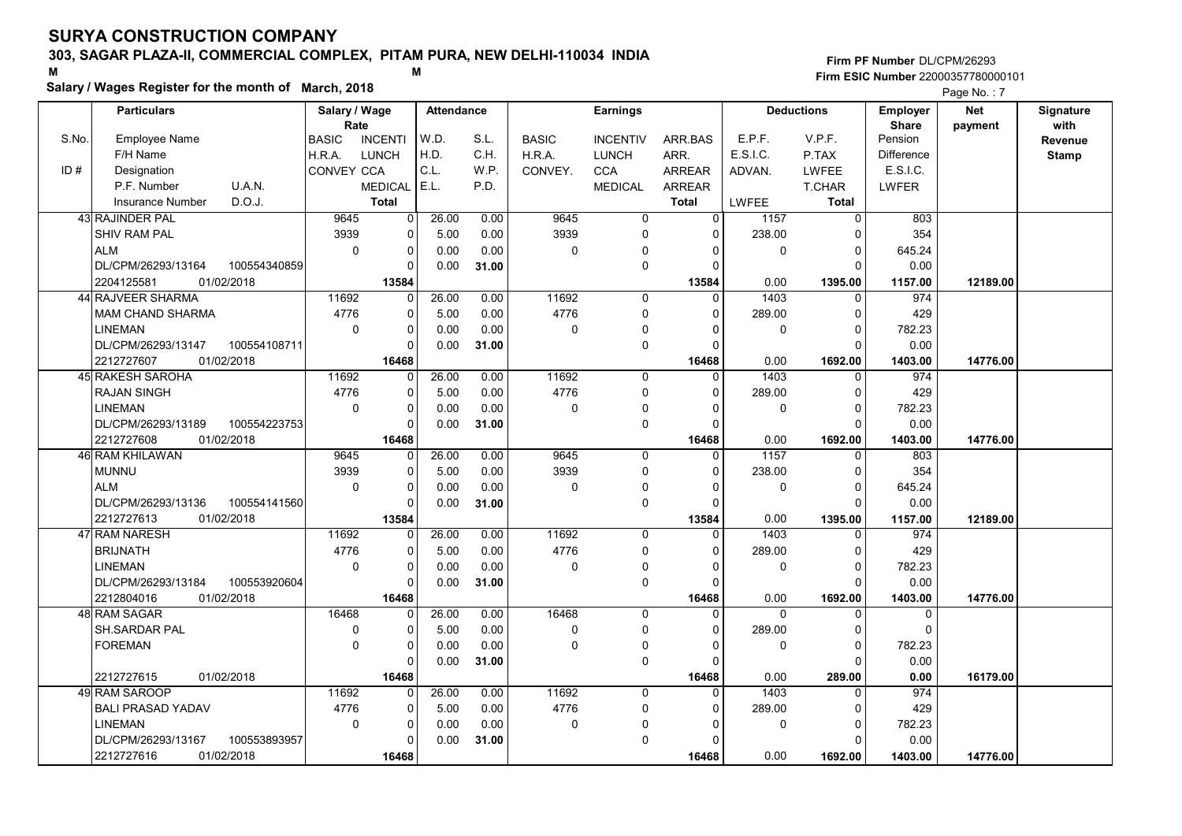# 303, SAGAR PLAZA-II, COMMERCIAL COMPLEX, PITAM PURA, NEW DELHI-110034 INDIA

#### Salary / Wages Register for the month of March, 2018

|       | Salary / wages Register for the month of March, 2018 |               |                |                   |       |              |                 |                |                |                   |                 | Page No.: 7 |              |
|-------|------------------------------------------------------|---------------|----------------|-------------------|-------|--------------|-----------------|----------------|----------------|-------------------|-----------------|-------------|--------------|
|       | <b>Particulars</b>                                   | Salary / Wage |                | <b>Attendance</b> |       |              | <b>Earnings</b> |                |                | <b>Deductions</b> | <b>Employer</b> | Net         | Signature    |
|       |                                                      | Rate          |                |                   |       |              |                 |                |                |                   | <b>Share</b>    | payment     | with         |
| S.No. | <b>Employee Name</b>                                 | <b>BASIC</b>  | <b>INCENTI</b> | W.D.              | S.L.  | <b>BASIC</b> | <b>INCENTIV</b> | ARR BAS        | E.P.F.         | V.P.F.            | Pension         |             | Revenue      |
|       | F/H Name                                             | H.R.A.        | LUNCH          | H.D.              | C.H.  | H.R.A.       | <b>LUNCH</b>    | ARR.           | E.S.I.C.       | P.TAX             | Difference      |             | <b>Stamp</b> |
| ID#   | Designation                                          | CONVEY CCA    |                | C.L.              | W.P.  | CONVEY.      | <b>CCA</b>      | <b>ARREAR</b>  | ADVAN.         | <b>LWFEE</b>      | E.S.I.C.        |             |              |
|       | U.A.N.<br>P.F. Number                                |               | <b>MEDICAL</b> | E.L.              | P.D.  |              | <b>MEDICAL</b>  | <b>ARREAR</b>  |                | <b>T.CHAR</b>     | <b>LWFER</b>    |             |              |
|       | D.O.J.<br><b>Insurance Number</b>                    |               | <b>Total</b>   |                   |       |              |                 | <b>Total</b>   | LWFEE          | <b>Total</b>      |                 |             |              |
|       | 43 RAJINDER PAL                                      | 9645          | 0              | 26.00             | 0.00  | 9645         | $\overline{0}$  | $\overline{0}$ | 1157           | $\overline{0}$    | 803             |             |              |
|       | SHIV RAM PAL                                         | 3939          | $\overline{0}$ | 5.00              | 0.00  | 3939         | $\mathbf 0$     | $\Omega$       | 238.00         | $\cap$            | 354             |             |              |
|       | <b>ALM</b>                                           | $\mathbf 0$   | 0              | 0.00              | 0.00  | $\mathbf 0$  | $\mathbf{0}$    | 0              | 0              | 0                 | 645.24          |             |              |
|       | DL/CPM/26293/13164<br>100554340859                   |               | $\Omega$       | 0.00              | 31.00 |              | $\mathbf 0$     | $\Omega$       |                | $\Omega$          | 0.00            |             |              |
|       | 2204125581<br>01/02/2018                             |               | 13584          |                   |       |              |                 | 13584          | 0.00           | 1395.00           | 1157.00         | 12189.00    |              |
|       | 44 RAJVEER SHARMA                                    | 11692         | $\Omega$       | 26.00             | 0.00  | 11692        | $\mathbf 0$     | $\Omega$       | 1403           | $\Omega$          | 974             |             |              |
|       | <b>MAM CHAND SHARMA</b>                              | 4776          | 0              | 5.00              | 0.00  | 4776         | $\mathbf 0$     | $\Omega$       | 289.00         | $\Omega$          | 429             |             |              |
|       | <b>LINEMAN</b>                                       | $\mathbf 0$   | 0              | 0.00              | 0.00  | $\mathbf 0$  | $\mathbf 0$     | $\Omega$       | 0              | $\Omega$          | 782.23          |             |              |
|       | DL/CPM/26293/13147<br>100554108711                   |               | 0              | 0.00              | 31.00 |              | $\mathbf 0$     | $\Omega$       |                | $\Omega$          | 0.00            |             |              |
|       | 2212727607<br>01/02/2018                             |               | 16468          |                   |       |              |                 | 16468          | 0.00           | 1692.00           | 1403.00         | 14776.00    |              |
|       | 45 RAKESH SAROHA                                     | 11692         | 0              | 26.00             | 0.00  | 11692        | $\mathbf 0$     | $\Omega$       | 1403           | $\Omega$          | 974             |             |              |
|       | <b>RAJAN SINGH</b>                                   | 4776          | 0              | 5.00              | 0.00  | 4776         | $\mathbf 0$     | $\Omega$       | 289.00         | $\Omega$          | 429             |             |              |
|       | LINEMAN                                              | $\mathbf 0$   | 0              | 0.00              | 0.00  | $\mathbf 0$  | $\mathbf 0$     | $\Omega$       | 0              | $\mathbf 0$       | 782.23          |             |              |
|       | DL/CPM/26293/13189<br>100554223753                   |               | 0              | 0.00              | 31.00 |              | $\mathbf 0$     | $\Omega$       |                | $\Omega$          | 0.00            |             |              |
|       | 2212727608<br>01/02/2018                             |               | 16468          |                   |       |              |                 | 16468          | 0.00           | 1692.00           | 1403.00         | 14776.00    |              |
|       | 46 RAM KHILAWAN                                      | 9645          | $\Omega$       | 26.00             | 0.00  | 9645         | $\mathbf 0$     | 0              | 1157           | $\Omega$          | 803             |             |              |
|       | <b>MUNNU</b>                                         | 3939          | 0              | 5.00              | 0.00  | 3939         | $\mathbf 0$     | $\Omega$       | 238.00         | 0                 | 354             |             |              |
|       | <b>ALM</b>                                           | $\mathbf 0$   | 0              | 0.00              | 0.00  | 0            | $\Omega$        |                | 0              | $\Omega$          | 645.24          |             |              |
|       | DL/CPM/26293/13136<br>100554141560                   |               | $\Omega$       | 0.00              | 31.00 |              | $\mathbf 0$     | $\Omega$       |                | $\Omega$          | 0.00            |             |              |
|       | 2212727613<br>01/02/2018                             |               | 13584          |                   |       |              |                 | 13584          | 0.00           | 1395.00           | 1157.00         | 12189.00    |              |
|       | 47 RAM NARESH                                        | 11692         | 0              | 26.00             | 0.00  | 11692        | 0               | 0              | 1403           | $\mathbf 0$       | 974             |             |              |
|       | <b>BRIJNATH</b>                                      | 4776          | 0              | 5.00              | 0.00  | 4776         | 0               | $\Omega$       | 289.00         | $\Omega$          | 429             |             |              |
|       | <b>LINEMAN</b>                                       | $\Omega$      | 0              | 0.00              | 0.00  | $\Omega$     | 0               | $\Omega$       | 0              | $\Omega$          | 782.23          |             |              |
|       | DL/CPM/26293/13184<br>100553920604                   |               | 0              | 0.00              | 31.00 |              | $\pmb{0}$       | $\Omega$       |                | n                 | 0.00            |             |              |
|       | 2212804016<br>01/02/2018                             |               | 16468          |                   |       |              |                 | 16468          | 0.00           | 1692.00           | 1403.00         | 14776.00    |              |
|       | <b>48 RAM SAGAR</b>                                  | 16468         | $\Omega$       | 26.00             | 0.00  | 16468        | $\Omega$        | $\Omega$       | $\overline{0}$ | $\Omega$          | $\Omega$        |             |              |
|       | SH.SARDAR PAL                                        | 0             | 0              | 5.00              | 0.00  | $\mathbf 0$  | $\mathbf 0$     | $\Omega$       | 289.00         | $\Omega$          | $\mathbf{0}$    |             |              |
|       | <b>FOREMAN</b>                                       | $\mathbf 0$   | 0              | 0.00              | 0.00  | 0            | 0               | O              | 0              | $\Omega$          | 782.23          |             |              |
|       |                                                      |               | 0              | 0.00              | 31.00 |              | $\mathbf 0$     | $\Omega$       |                |                   | 0.00            |             |              |
|       | 2212727615<br>01/02/2018                             |               | 16468          |                   |       |              |                 | 16468          | 0.00           | 289.00            | 0.00            | 16179.00    |              |
|       | 49 RAM SAROOP                                        | 11692         | $\Omega$       | 26.00             | 0.00  | 11692        | $\Omega$        | $\Omega$       | 1403           | $\Omega$          | 974             |             |              |
|       | <b>BALI PRASAD YADAV</b>                             | 4776          | 0              | 5.00              | 0.00  | 4776         | 0               | $\Omega$       | 289.00         | 0                 | 429             |             |              |
|       | LINEMAN                                              | $\Omega$      | 0              | 0.00              | 0.00  | $\mathbf 0$  | $\Omega$        |                | 0              | $\Omega$          | 782.23          |             |              |
|       | DL/CPM/26293/13167<br>100553893957                   |               | $\Omega$       | 0.00              | 31.00 |              | 0               | $\Omega$       |                | C                 | 0.00            |             |              |
|       | 2212727616<br>01/02/2018                             |               | 16468          |                   |       |              |                 | 16468          | 0.00           | 1692.00           | 1403.00         | 14776.00    |              |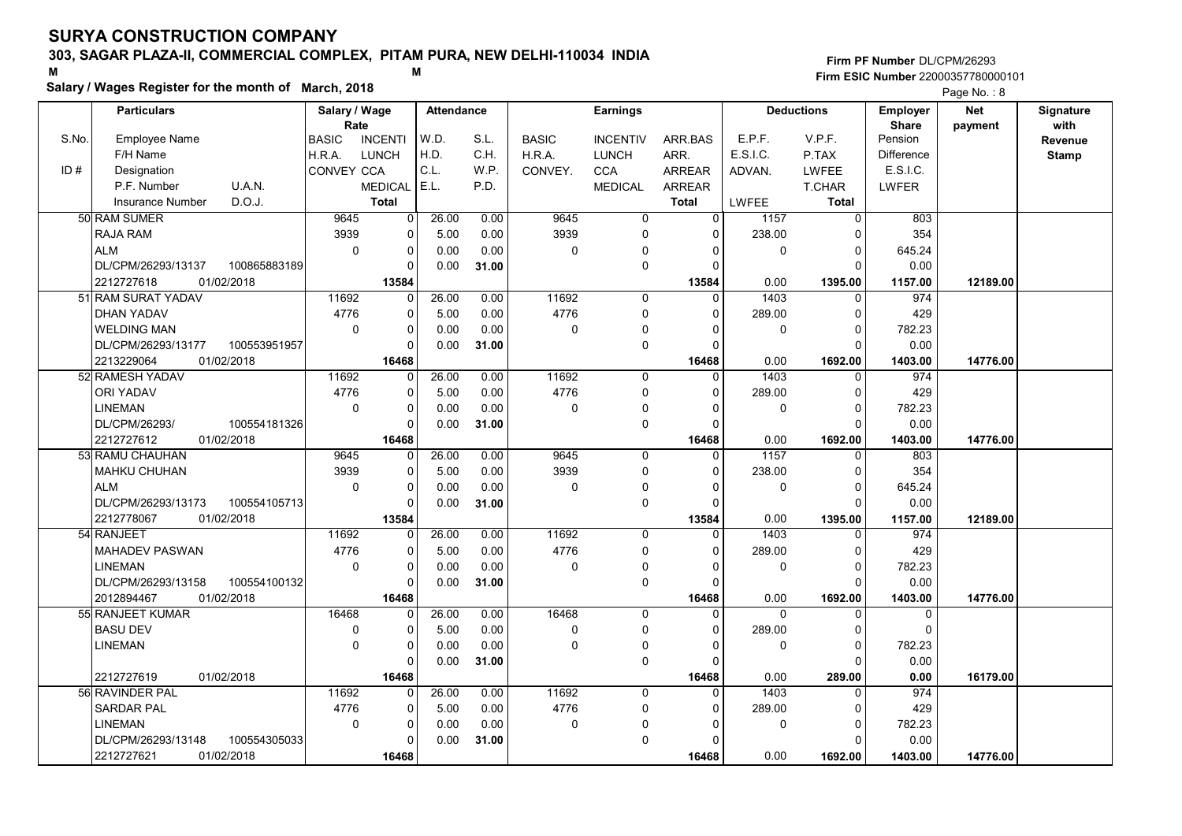# 303, SAGAR PLAZA-II, COMMERCIAL COMPLEX, PITAM PURA, NEW DELHI-110034 INDIA

#### Salary / Wages Register for the month of March, 2018

|       | Salary / wages Register for the month of March, 2018 |               |                |                   |       |              |                     |               |                |                   |                   | Page No.: 8 |              |
|-------|------------------------------------------------------|---------------|----------------|-------------------|-------|--------------|---------------------|---------------|----------------|-------------------|-------------------|-------------|--------------|
|       | <b>Particulars</b>                                   | Salary / Wage |                | <b>Attendance</b> |       |              | <b>Earnings</b>     |               |                | <b>Deductions</b> | <b>Employer</b>   | <b>Net</b>  | Signature    |
|       |                                                      | Rate          |                |                   |       |              |                     |               |                |                   | <b>Share</b>      | payment     | with         |
| S.No. | <b>Employee Name</b>                                 | <b>BASIC</b>  | <b>INCENTI</b> | W.D.              | S.L.  | <b>BASIC</b> | <b>INCENTIV</b>     | ARR.BAS       | E.P.F.         | V.P.F.            | Pension           |             | Revenue      |
|       | F/H Name                                             | H.R.A.        | <b>LUNCH</b>   | H.D.              | C.H.  | H.R.A.       | <b>LUNCH</b>        | ARR.          | E.S.I.C.       | P.TAX             | <b>Difference</b> |             | <b>Stamp</b> |
| ID#   | Designation                                          | CONVEY CCA    |                | C.L.              | W.P.  | CONVEY.      | <b>CCA</b>          | <b>ARREAR</b> | ADVAN.         | <b>LWFEE</b>      | E.S.I.C.          |             |              |
|       | U.A.N.<br>P.F. Number                                |               | <b>MEDICAL</b> | E.L.              | P.D.  |              | <b>MEDICAL</b>      | <b>ARREAR</b> |                | T.CHAR            | <b>LWFER</b>      |             |              |
|       | D.O.J.<br><b>Insurance Number</b>                    |               | <b>Total</b>   |                   |       |              |                     | <b>Total</b>  | LWFEE          | <b>Total</b>      |                   |             |              |
|       | 50 RAM SUMER                                         | 9645          | 0              | 26.00             | 0.00  | 9645         | $\overline{0}$      | $\Omega$      | 1157           | $\overline{0}$    | 803               |             |              |
|       | <b>RAJA RAM</b>                                      | 3939          | $\Omega$       | 5.00              | 0.00  | 3939         | $\mathbf 0$         | $\Omega$      | 238.00         | $\Omega$          | 354               |             |              |
|       | <b>ALM</b>                                           | $\mathbf 0$   | $\mathbf 0$    | 0.00              | 0.00  | 0            | $\mathbf 0$         | 0             | $\pmb{0}$      | 0                 | 645.24            |             |              |
|       | DL/CPM/26293/13137<br>100865883189                   |               | $\Omega$       | 0.00              | 31.00 |              | $\mathbf 0$         | $\Omega$      |                | $\Omega$          | 0.00              |             |              |
|       | 2212727618<br>01/02/2018                             |               | 13584          |                   |       |              |                     | 13584         | 0.00           | 1395.00           | 1157.00           | 12189.00    |              |
|       | 51 RAM SURAT YADAV                                   | 11692         | 0              | 26.00             | 0.00  | 11692        | $\mathbf 0$         | $\Omega$      | 1403           | $\Omega$          | 974               |             |              |
|       | <b>DHAN YADAV</b>                                    | 4776          | $\Omega$       | 5.00              | 0.00  | 4776         | $\mathbf 0$         | $\Omega$      | 289.00         | $\Omega$          | 429               |             |              |
|       | <b>WELDING MAN</b>                                   | $\Omega$      | $\Omega$       | 0.00              | 0.00  | $\Omega$     | 0                   |               | 0              | $\Omega$          | 782.23            |             |              |
|       | DL/CPM/26293/13177<br>100553951957                   |               | $\Omega$       | 0.00              | 31.00 |              | $\mathsf{O}\xspace$ |               |                | $\Omega$          | 0.00              |             |              |
|       | 2213229064<br>01/02/2018                             |               | 16468          |                   |       |              |                     | 16468         | 0.00           | 1692.00           | 1403.00           | 14776.00    |              |
|       | 52 RAMESH YADAV                                      | 11692         | $\mathbf 0$    | 26.00             | 0.00  | 11692        | $\mathbf 0$         | $\Omega$      | 1403           | 0                 | 974               |             |              |
|       | <b>ORI YADAV</b>                                     | 4776          | $\Omega$       | 5.00              | 0.00  | 4776         | $\mathsf{O}\xspace$ | $\Omega$      | 289.00         | $\Omega$          | 429               |             |              |
|       | <b>LINEMAN</b>                                       | $\Omega$      | $\Omega$       | 0.00              | 0.00  | 0            | 0                   | <sup>0</sup>  | $\mathbf 0$    | $\Omega$          | 782.23            |             |              |
|       | 100554181326<br>DL/CPM/26293/                        |               | $\Omega$       | 0.00              | 31.00 |              | $\mathbf 0$         |               |                | $\Omega$          | 0.00              |             |              |
|       | 2212727612<br>01/02/2018                             |               | 16468          |                   |       |              |                     | 16468         | 0.00           | 1692.00           | 1403.00           | 14776.00    |              |
|       | 53 RAMU CHAUHAN                                      | 9645          | $\Omega$       | 26.00             | 0.00  | 9645         | $\mathbf 0$         | $\Omega$      | 1157           | $\Omega$          | 803               |             |              |
|       | MAHKU CHUHAN                                         | 3939          | $\Omega$       | 5.00              | 0.00  | 3939         | $\mathbf 0$         | $\Omega$      | 238.00         | $\Omega$          | 354               |             |              |
|       | <b>ALM</b>                                           | $\mathbf 0$   | $\mathbf 0$    | 0.00              | 0.00  | 0            | $\mathbf 0$         |               | $\mathbf 0$    | 0                 | 645.24            |             |              |
|       | DL/CPM/26293/13173<br>100554105713                   |               | $\Omega$       | 0.00              | 31.00 |              | $\mathbf 0$         |               |                | $\Omega$          | 0.00              |             |              |
|       | 2212778067<br>01/02/2018                             |               | 13584          |                   |       |              |                     | 13584         | 0.00           | 1395.00           | 1157.00           | 12189.00    |              |
|       | 54 RANJEET                                           | 11692         | $\Omega$       | 26.00             | 0.00  | 11692        | $\mathbf 0$         | $\Omega$      | 1403           | $\Omega$          | 974               |             |              |
|       | <b>MAHADEV PASWAN</b>                                | 4776          | $\Omega$       | 5.00              | 0.00  | 4776         | $\mathbf 0$         | $\Omega$      | 289.00         | $\Omega$          | 429               |             |              |
|       | <b>LINEMAN</b>                                       | $\mathbf 0$   | $\mathbf 0$    | 0.00              | 0.00  | 0            | 0                   | $\Omega$      | $\mathbf 0$    | $\Omega$          | 782.23            |             |              |
|       | DL/CPM/26293/13158<br>100554100132                   |               | $\Omega$       | 0.00              | 31.00 |              | $\mathbf 0$         | $\Omega$      |                | $\Omega$          | 0.00              |             |              |
|       | 2012894467<br>01/02/2018                             |               | 16468          |                   |       |              |                     | 16468         | 0.00           | 1692.00           | 1403.00           | 14776.00    |              |
|       | 55 RANJEET KUMAR                                     | 16468         | $\Omega$       | 26.00             | 0.00  | 16468        | $\mathbf 0$         | $\Omega$      | $\overline{0}$ | $\Omega$          | $\mathbf 0$       |             |              |
|       | <b>BASU DEV</b>                                      | 0             | $\mathbf 0$    | 5.00              | 0.00  | 0            | $\mathbf 0$         |               | 289.00         | $\Omega$          | $\Omega$          |             |              |
|       | <b>LINEMAN</b>                                       | $\Omega$      | $\Omega$       | 0.00              | 0.00  | $\Omega$     | $\pmb{0}$           | <sup>0</sup>  | $\Omega$       | $\Omega$          | 782.23            |             |              |
|       |                                                      |               | $\Omega$       | 0.00              | 31.00 |              | $\mathbf 0$         |               |                | $\Omega$          | 0.00              |             |              |
|       | 2212727619<br>01/02/2018                             |               | 16468          |                   |       |              |                     | 16468         | 0.00           | 289.00            | 0.00              | 16179.00    |              |
|       | 56 RAVINDER PAL                                      | 11692         | $\Omega$       | 26.00             | 0.00  | 11692        | $\mathbf 0$         | $\Omega$      | 1403           | $\Omega$          | 974               |             |              |
|       | SARDAR PAL                                           | 4776          | 0              | 5.00              | 0.00  | 4776         | 0                   | $\Omega$      | 289.00         | 0                 | 429               |             |              |
|       | <b>LINEMAN</b>                                       | $\mathbf 0$   | $\mathbf 0$    | 0.00              | 0.00  | 0            | $\mathbf 0$         |               | $\mathbf 0$    | $\Omega$          | 782.23            |             |              |
|       | DL/CPM/26293/13148<br>100554305033                   |               | $\Omega$       | 0.00              | 31.00 |              | $\pmb{0}$           |               |                | $\Omega$          | 0.00              |             |              |
|       | 2212727621<br>01/02/2018                             |               | 16468          |                   |       |              |                     | 16468         | 0.00           | 1692.00           | 1403.00           | 14776.00    |              |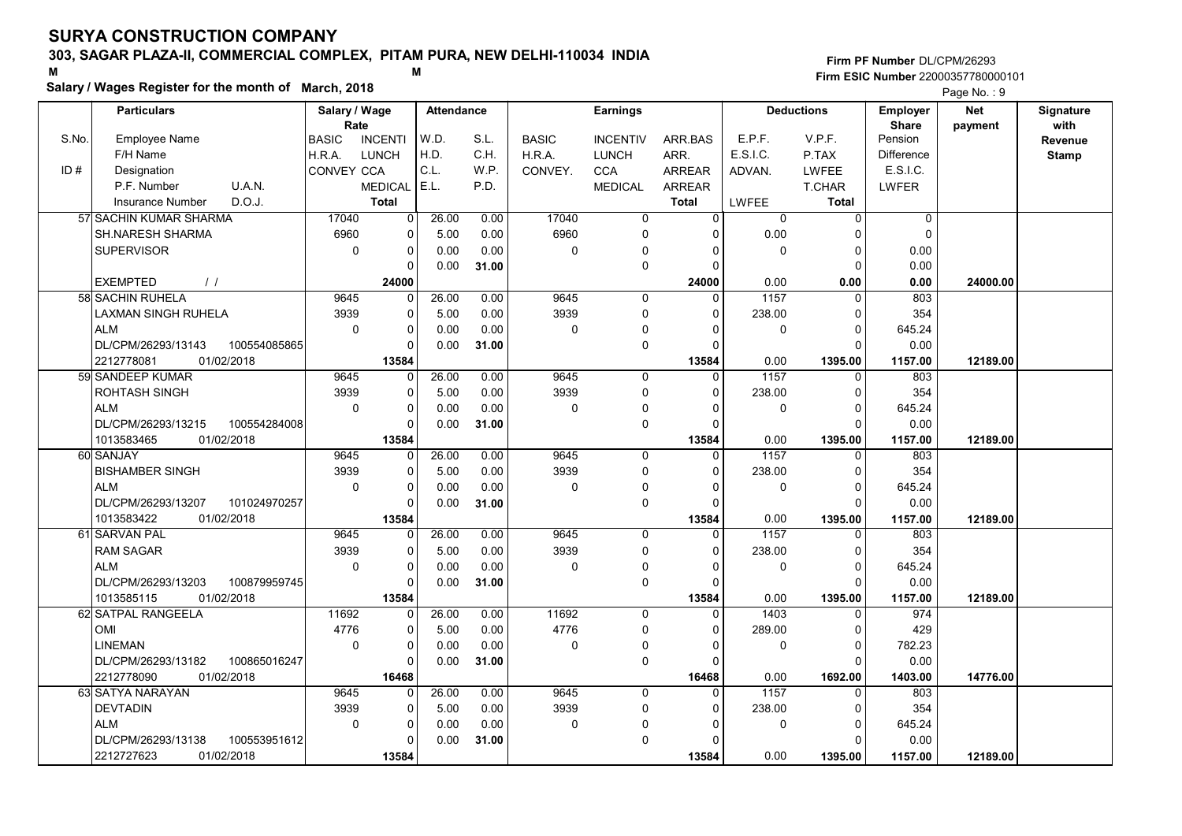# 303, SAGAR PLAZA-II, COMMERCIAL COMPLEX, PITAM PURA, NEW DELHI-110034 INDIA

#### Salary / Wages Register for the month of March, 2018

|       | Salary / wages Register for the month of March, 2018 |                        |                |                   |       |              |                 |                |                |                   |                 | Page No.: 9 |              |
|-------|------------------------------------------------------|------------------------|----------------|-------------------|-------|--------------|-----------------|----------------|----------------|-------------------|-----------------|-------------|--------------|
|       | <b>Particulars</b>                                   | Salary / Wage          |                | <b>Attendance</b> |       |              | <b>Earnings</b> |                |                | <b>Deductions</b> | <b>Employer</b> | <b>Net</b>  | Signature    |
|       |                                                      | Rate                   |                |                   |       |              |                 |                |                |                   | <b>Share</b>    | payment     | with         |
| S.No. | Employee Name                                        | <b>BASIC</b>           | <b>INCENTI</b> | W.D.              | S.L.  | <b>BASIC</b> | <b>INCENTIV</b> | ARR BAS        | E.P.F.         | V.P.F.            | Pension         |             | Revenue      |
|       | F/H Name                                             | <b>LUNCH</b><br>H.R.A. |                | H.D.              | C.H.  | H.R.A.       | <b>LUNCH</b>    | ARR.           | E.S.I.C.       | P.TAX             | Difference      |             | <b>Stamp</b> |
| ID#   | Designation                                          | CONVEY CCA             |                | C.L.              | W.P.  | CONVEY.      | <b>CCA</b>      | <b>ARREAR</b>  | ADVAN.         | <b>LWFEE</b>      | E.S.I.C.        |             |              |
|       | U.A.N.<br>P.F. Number                                |                        | <b>MEDICAL</b> | E.L.              | P.D.  |              | <b>MEDICAL</b>  | <b>ARREAR</b>  |                | <b>T.CHAR</b>     | <b>LWFER</b>    |             |              |
|       | D.O.J.<br><b>Insurance Number</b>                    |                        | <b>Total</b>   |                   |       |              |                 | <b>Total</b>   | LWFEE          | <b>Total</b>      |                 |             |              |
|       | 57 SACHIN KUMAR SHARMA                               | 17040                  | $\overline{0}$ | 26.00             | 0.00  | 17040        | $\overline{0}$  | $\overline{0}$ | $\overline{0}$ | $\overline{0}$    | $\mathbf 0$     |             |              |
|       | <b>SH.NARESH SHARMA</b>                              | 6960                   | 0              | 5.00              | 0.00  | 6960         | $\mathbf 0$     | $\Omega$       | 0.00           | $\Omega$          | $\mathbf 0$     |             |              |
|       | <b>SUPERVISOR</b>                                    | $\mathbf 0$            | 0              | 0.00              | 0.00  | 0            | $\Omega$        | $\Omega$       | 0              | 0                 | 0.00            |             |              |
|       |                                                      |                        | $\Omega$       | 0.00              | 31.00 |              | $\Omega$        | $\Omega$       |                | $\Omega$          | 0.00            |             |              |
|       | <b>EXEMPTED</b><br>$\frac{1}{2}$                     |                        | 24000          |                   |       |              |                 | 24000          | 0.00           | 0.00              | 0.00            | 24000.00    |              |
|       | 58 SACHIN RUHELA                                     | 9645                   | $\Omega$       | 26.00             | 0.00  | 9645         | 0               | $\Omega$       | 1157           | $\Omega$          | 803             |             |              |
|       | <b>LAXMAN SINGH RUHELA</b>                           | 3939                   | 0              | 5.00              | 0.00  | 3939         | $\Omega$        | $\Omega$       | 238.00         | $\Omega$          | 354             |             |              |
|       | <b>ALM</b>                                           | $\mathbf 0$            | 0              | 0.00              | 0.00  | 0            | $\mathbf 0$     | $\Omega$       | 0              | $\overline{0}$    | 645.24          |             |              |
|       | DL/CPM/26293/13143<br>100554085865                   |                        | $\Omega$       | 0.00              | 31.00 |              | $\mathbf 0$     | $\Omega$       |                | $\Omega$          | 0.00            |             |              |
|       | 2212778081<br>01/02/2018                             |                        | 13584          |                   |       |              |                 | 13584          | 0.00           | 1395.00           | 1157.00         | 12189.00    |              |
|       | 59 SANDEEP KUMAR                                     | 9645                   | 0              | 26.00             | 0.00  | 9645         | $\mathbf 0$     | $\mathbf{0}$   | 1157           | $\Omega$          | 803             |             |              |
|       | <b>ROHTASH SINGH</b>                                 | 3939                   | $\Omega$       | 5.00              | 0.00  | 3939         | $\mathbf 0$     | $\Omega$       | 238.00         | $\Omega$          | 354             |             |              |
|       | <b>ALM</b>                                           | $\mathbf 0$            | 0              | 0.00              | 0.00  | 0            | 0               | $\Omega$       | 0              | $\Omega$          | 645.24          |             |              |
|       | DL/CPM/26293/13215<br>100554284008                   |                        | $\Omega$       | 0.00              | 31.00 |              | $\mathbf 0$     | $\Omega$       |                | $\Omega$          | 0.00            |             |              |
|       | 01/02/2018<br>1013583465                             |                        | 13584          |                   |       |              |                 | 13584          | 0.00           | 1395.00           | 1157.00         | 12189.00    |              |
|       | 60 SANJAY                                            | 9645                   | 0              | 26.00             | 0.00  | 9645         | $\mathbf 0$     | $\Omega$       | 1157           | $\Omega$          | 803             |             |              |
|       | <b>BISHAMBER SINGH</b>                               | 3939                   | 0              | 5.00              | 0.00  | 3939         | $\mathbf 0$     | $\Omega$       | 238.00         | $\Omega$          | 354             |             |              |
|       | <b>ALM</b>                                           | $\mathbf 0$            | 0              | 0.00              | 0.00  | $\mathbf 0$  | $\Omega$        | $\Omega$       | 0              | $\mathbf 0$       | 645.24          |             |              |
|       | DL/CPM/26293/13207<br>101024970257                   |                        | U              | 0.00              | 31.00 |              | $\mathbf 0$     | 0              |                | $\Omega$          | 0.00            |             |              |
|       | 1013583422<br>01/02/2018                             |                        | 13584          |                   |       |              |                 | 13584          | 0.00           | 1395.00           | 1157.00         | 12189.00    |              |
|       | 61 SARVAN PAL                                        | 9645                   | $\overline{0}$ | 26.00             | 0.00  | 9645         | $\mathbf 0$     | $\mathbf 0$    | 1157           | $\mathbf 0$       | 803             |             |              |
|       | <b>RAM SAGAR</b>                                     | 3939                   | 0              | 5.00              | 0.00  | 3939         | $\mathbf 0$     | $\Omega$       | 238.00         | $\Omega$          | 354             |             |              |
|       | <b>ALM</b>                                           | $\Omega$               | $\Omega$       | 0.00              | 0.00  | 0            | $\mathbf 0$     | $\Omega$       | 0              | $\Omega$          | 645.24          |             |              |
|       | DL/CPM/26293/13203<br>100879959745                   |                        | 0              | 0.00              | 31.00 |              | $\mathbf 0$     | $\Omega$       |                | $\Omega$          | 0.00            |             |              |
|       | 1013585115<br>01/02/2018                             |                        | 13584          |                   |       |              |                 | 13584          | 0.00           | 1395.00           | 1157.00         | 12189.00    |              |
|       | 62 SATPAL RANGEELA                                   | 11692                  | U              | 26.00             | 0.00  | 11692        | $\Omega$        | $\Omega$       | 1403           | $\Omega$          | 974             |             |              |
|       | OMI                                                  | 4776                   | 0              | 5.00              | 0.00  | 4776         | $\mathbf 0$     | $\Omega$       | 289.00         | $\Omega$          | 429             |             |              |
|       | <b>LINEMAN</b>                                       | $\mathbf 0$            | $\Omega$       | 0.00              | 0.00  | 0            | $\mathbf 0$     | $\Omega$       | 0              | $\Omega$          | 782.23          |             |              |
|       | DL/CPM/26293/13182<br>100865016247                   |                        | $\Omega$       | 0.00              | 31.00 |              | $\mathbf 0$     | $\Omega$       |                | $\Omega$          | 0.00            |             |              |
|       | 2212778090<br>01/02/2018                             |                        | 16468          |                   |       |              |                 | 16468          | 0.00           | 1692.00           | 1403.00         | 14776.00    |              |
|       | 63 SATYA NARAYAN                                     | 9645                   | 0              | 26.00             | 0.00  | 9645         | $\Omega$        | $\Omega$       | 1157           | $\Omega$          | 803             |             |              |
|       | <b>DEVTADIN</b>                                      | 3939                   | 0              | 5.00              | 0.00  | 3939         | $\mathbf 0$     | $\Omega$       | 238.00         | 0                 | 354             |             |              |
|       | <b>ALM</b>                                           | $\mathbf 0$            | 0              | 0.00              | 0.00  | 0            | $\Omega$        | $\Omega$       | 0              | $\Omega$          | 645.24          |             |              |
|       | DL/CPM/26293/13138<br>100553951612                   |                        | U              | 0.00              | 31.00 |              | $\Omega$        | $\Omega$       |                | $\Omega$          | 0.00            |             |              |
|       | 2212727623<br>01/02/2018                             |                        | 13584          |                   |       |              |                 | 13584          | 0.00           | 1395.00           | 1157.00         | 12189.00    |              |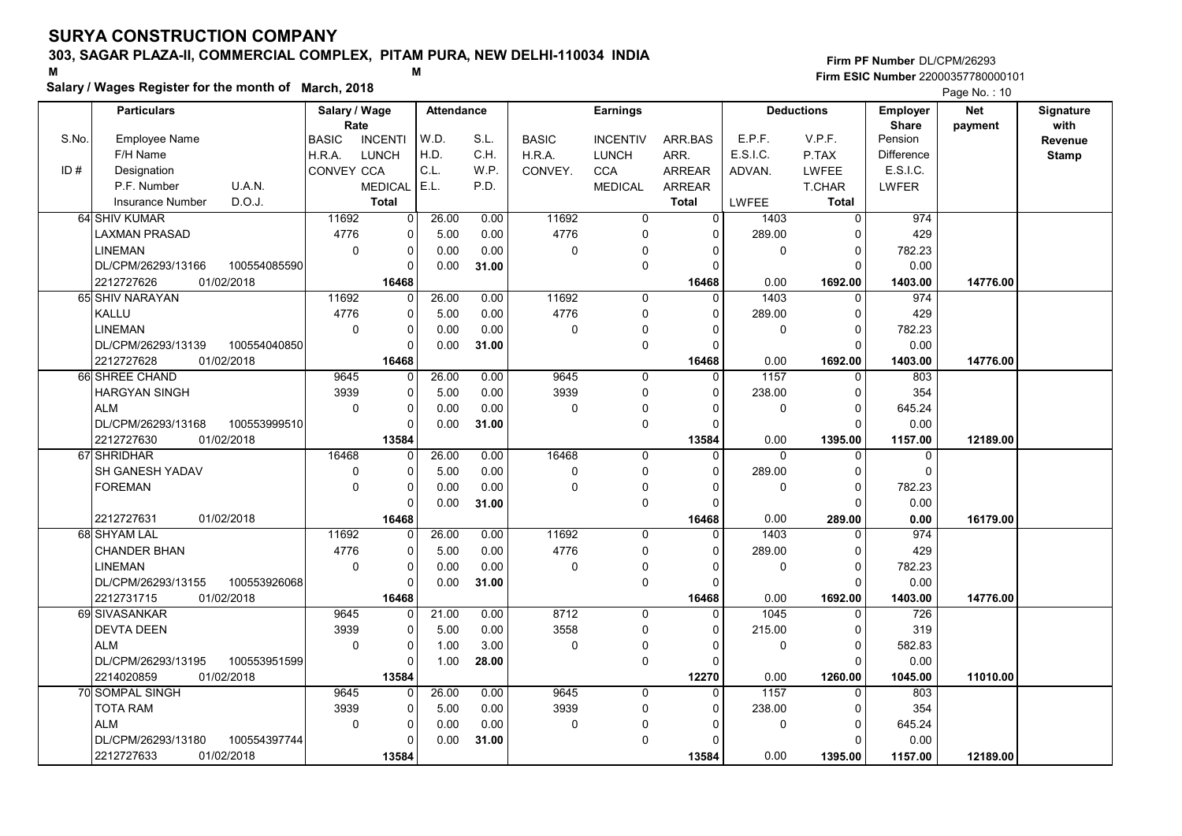# 303, SAGAR PLAZA-II, COMMERCIAL COMPLEX, PITAM PURA, NEW DELHI-110034 INDIA

#### Salary / Wages Register for the month of March, 2018

#### Firm PF Number DL/CPM/26293 M<br>M<br>A M Firm ESIC Number 22000357780000101

|       | <b>Particulars</b>       |              | Salary / Wage        |                         | <b>Attendance</b> |       |              | <b>Earnings</b> |                |                   | <b>Deductions</b> | <b>Employer</b>         | <b>Net</b> | Signature       |
|-------|--------------------------|--------------|----------------------|-------------------------|-------------------|-------|--------------|-----------------|----------------|-------------------|-------------------|-------------------------|------------|-----------------|
| S.No. | Employee Name            |              | Rate<br><b>BASIC</b> | <b>INCENTI</b>          | W.D.              | S.L.  | <b>BASIC</b> | <b>INCENTIV</b> | ARR.BAS        | E.P.F.            | V.P.F.            | <b>Share</b><br>Pension | payment    | with<br>Revenue |
|       | F/H Name                 |              | H.R.A.               | <b>LUNCH</b>            | H.D.              | C.H.  | H.R.A.       | <b>LUNCH</b>    | ARR.           | E.S.I.C.          | P.TAX             | Difference              |            | <b>Stamp</b>    |
| ID#   | Designation              |              | CONVEY CCA           |                         | C.L.              | W.P.  | CONVEY.      | <b>CCA</b>      | <b>ARREAR</b>  | ADVAN.            | <b>LWFEE</b>      | E.S.I.C.                |            |                 |
|       | P.F. Number              | U.A.N.       |                      | <b>MEDICAL</b>          | E.L.              | P.D.  |              | <b>MEDICAL</b>  | <b>ARREAR</b>  |                   | T.CHAR            | LWFER                   |            |                 |
|       | <b>Insurance Number</b>  | D.O.J.       |                      | <b>Total</b>            |                   |       |              |                 | <b>Total</b>   | LWFEE             | <b>Total</b>      |                         |            |                 |
|       | 64 SHIV KUMAR            |              | 11692                | 0                       | 26.00             | 0.00  | 11692        | 0               | $\overline{0}$ | 1403              | $\mathbf{0}$      | 974                     |            |                 |
|       | LAXMAN PRASAD            |              | 4776                 | $\mathbf 0$             | 5.00              | 0.00  | 4776         | $\mathbf 0$     | $\Omega$       | 289.00            | $\mathbf 0$       | 429                     |            |                 |
|       | <b>LINEMAN</b>           |              | $\mathbf 0$          | 0                       | 0.00              | 0.00  | $\mathbf 0$  | 0               | $\Omega$       | 0                 | $\overline{0}$    | 782.23                  |            |                 |
|       | DL/CPM/26293/13166       | 100554085590 |                      | $\Omega$                | 0.00              | 31.00 |              | $\pmb{0}$       | $\Omega$       |                   | $\Omega$          | 0.00                    |            |                 |
|       | 01/02/2018<br>2212727626 |              |                      | 16468                   |                   |       |              |                 | 16468          | 0.00              | 1692.00           | 1403.00                 | 14776.00   |                 |
|       | 65 SHIV NARAYAN          |              | 11692                | $\overline{0}$          | 26.00             | 0.00  | 11692        | $\mathbf 0$     | $\Omega$       | 1403              | $\Omega$          | 974                     |            |                 |
|       | KALLU                    |              | 4776                 | $\mathbf 0$             | 5.00              | 0.00  | 4776         | $\mathbf 0$     | 0              | 289.00            | $\mathbf 0$       | 429                     |            |                 |
|       | <b>LINEMAN</b>           |              | $\Omega$             | $\Omega$                | 0.00              | 0.00  | 0            | $\mathbf 0$     | $\Omega$       | 0                 | $\mathbf 0$       | 782.23                  |            |                 |
|       | DL/CPM/26293/13139       | 100554040850 |                      | $\Omega$                | 0.00              | 31.00 |              | $\mathbf 0$     | $\Omega$       |                   | $\Omega$          | 0.00                    |            |                 |
|       | 2212727628<br>01/02/2018 |              |                      | 16468                   |                   |       |              |                 | 16468          | 0.00              | 1692.00           | 1403.00                 | 14776.00   |                 |
|       | 66 SHREE CHAND           |              | 9645                 | $\mathbf 0$             | 26.00             | 0.00  | 9645         | $\mathbf 0$     | 0              | $\overline{1157}$ | 0                 | 803                     |            |                 |
|       | <b>HARGYAN SINGH</b>     |              | 3939                 | 0                       | 5.00              | 0.00  | 3939         | $\mathbf 0$     | $\Omega$       | 238.00            | $\Omega$          | 354                     |            |                 |
|       | <b>ALM</b>               |              | $\mathbf 0$          | 0                       | 0.00              | 0.00  | 0            | $\mathbf 0$     | 0              | 0                 | $\overline{0}$    | 645.24                  |            |                 |
|       | DL/CPM/26293/13168       | 100553999510 |                      | 0                       | 0.00              | 31.00 |              | $\mathbf 0$     | $\Omega$       |                   | $\Omega$          | 0.00                    |            |                 |
|       | 2212727630<br>01/02/2018 |              |                      | 13584                   |                   |       |              |                 | 13584          | 0.00              | 1395.00           | 1157.00                 | 12189.00   |                 |
|       | 67 SHRIDHAR              |              | 16468                | $\Omega$                | 26.00             | 0.00  | 16468        | $\mathbf 0$     | $\Omega$       | $\overline{0}$    | $\Omega$          | $\mathbf 0$             |            |                 |
|       | <b>SH GANESH YADAV</b>   |              | 0                    | $\Omega$                | 5.00              | 0.00  | $\pmb{0}$    | $\pmb{0}$       | $\Omega$       | 289.00            | $\mathbf 0$       | $\Omega$                |            |                 |
|       | <b>FOREMAN</b>           |              | $\mathbf 0$          | $\mathbf 0$             | 0.00              | 0.00  | $\mathbf 0$  | $\mathbf 0$     | $\Omega$       | 0                 | $\overline{0}$    | 782.23                  |            |                 |
|       |                          |              |                      | $\Omega$                | 0.00              | 31.00 |              | $\mathbf 0$     | 0              |                   | $\Omega$          | 0.00                    |            |                 |
|       | 01/02/2018<br>2212727631 |              |                      | 16468                   |                   |       |              |                 | 16468          | 0.00              | 289.00            | 0.00                    | 16179.00   |                 |
|       | 68 SHYAM LAL             |              | 11692                | $\overline{0}$          | 26.00             | 0.00  | 11692        | $\Omega$        | $\Omega$       | 1403              | $\Omega$          | 974                     |            |                 |
|       | <b>CHANDER BHAN</b>      |              | 4776                 | $\Omega$                | 5.00              | 0.00  | 4776         | $\mathbf 0$     | $\Omega$       | 289.00            | $\Omega$          | 429                     |            |                 |
|       | <b>LINEMAN</b>           |              | $\mathbf 0$          | $\mathbf 0$             | 0.00              | 0.00  | 0            | 0               | 0              | 0                 | $\mathbf 0$       | 782.23                  |            |                 |
|       | DL/CPM/26293/13155       | 100553926068 |                      | $\Omega$                | 0.00              | 31.00 |              | $\pmb{0}$       | 0              |                   | $\Omega$          | 0.00                    |            |                 |
|       | 01/02/2018<br>2212731715 |              |                      | 16468                   |                   |       |              |                 | 16468          | 0.00              | 1692.00           | 1403.00                 | 14776.00   |                 |
|       | 69 SIVASANKAR            |              | 9645                 | $\Omega$                | 21.00             | 0.00  | 8712         | $\Omega$        | $\Omega$       | 1045              | $\Omega$          | 726                     |            |                 |
|       | <b>DEVTA DEEN</b>        |              | 3939                 | $\mathbf 0$             | 5.00              | 0.00  | 3558         | $\mathbf 0$     | $\Omega$       | 215.00            | $\mathbf 0$       | 319                     |            |                 |
|       | <b>ALM</b>               |              | $\mathbf 0$          | $\mathbf 0$             | 1.00              | 3.00  | 0            | $\mathbf 0$     | 0              | 0                 | $\mathbf 0$       | 582.83                  |            |                 |
|       | DL/CPM/26293/13195       | 100553951599 |                      | $\Omega$                | 1.00              | 28.00 |              | $\mathbf 0$     | $\Omega$       |                   | $\Omega$          | 0.00                    |            |                 |
|       | 2214020859<br>01/02/2018 |              |                      | 13584                   |                   |       |              |                 | 12270          | 0.00              | 1260.00           | 1045.00                 | 11010.00   |                 |
|       | 70 SOMPAL SINGH          |              | 9645                 | 0                       | 26.00             | 0.00  | 9645         | $\mathbf 0$     | $\Omega$       | 1157              | $\mathbf 0$       | 803                     |            |                 |
|       | <b>TOTA RAM</b>          |              | 3939                 | 0                       | 5.00              | 0.00  | 3939         | $\mathbf 0$     | 0              | 238.00            | 0                 | 354                     |            |                 |
|       | <b>ALM</b>               |              | $\mathbf 0$          | $\mathbf 0$<br>$\Omega$ | 0.00              | 0.00  | 0            | 0               | $\Omega$       | 0                 | $\overline{0}$    | 645.24                  |            |                 |
|       | DL/CPM/26293/13180       | 100554397744 |                      |                         | 0.00              | 31.00 |              | $\pmb{0}$       | $\Omega$       |                   | 0                 | 0.00                    |            |                 |
|       | 2212727633<br>01/02/2018 |              |                      | 13584                   |                   |       |              |                 | 13584          | 0.00              | 1395.00           | 1157.00                 | 12189.00   |                 |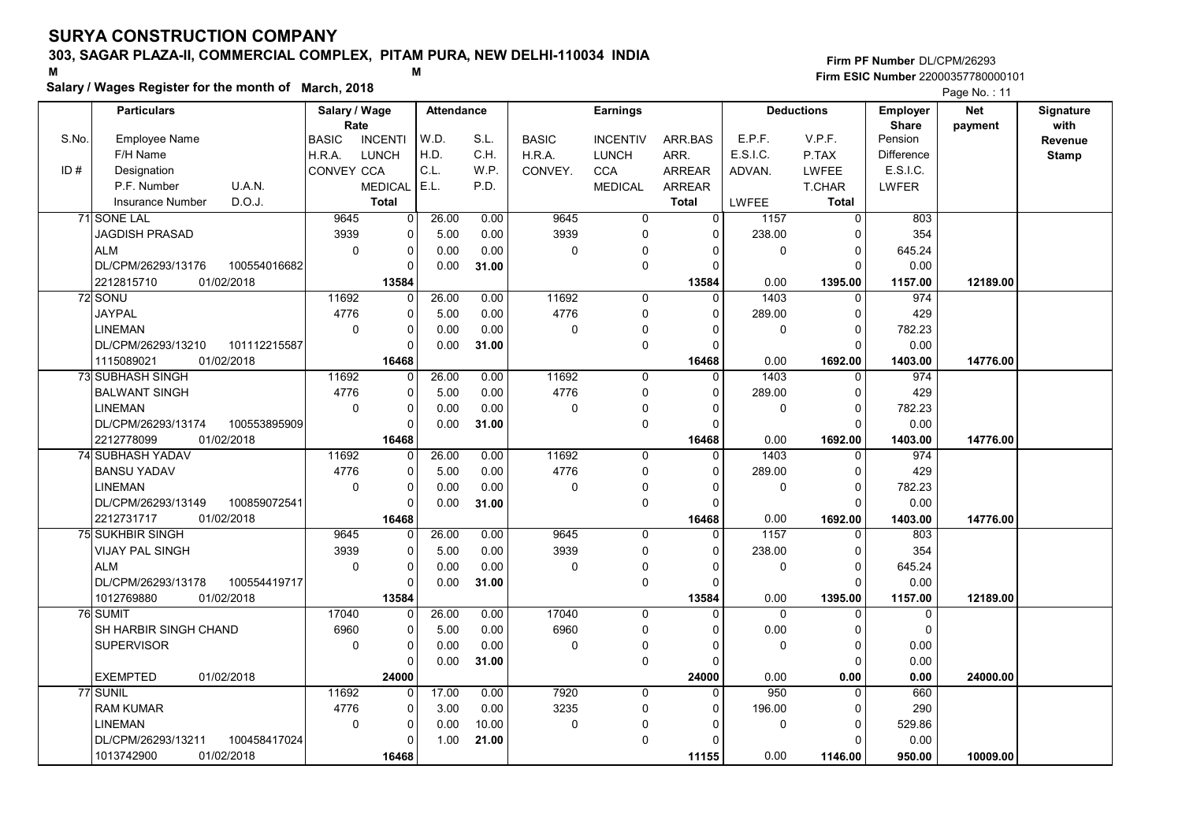# 303, SAGAR PLAZA-II, COMMERCIAL COMPLEX, PITAM PURA, NEW DELHI-110034 INDIA

Salary / Wages Register for the month of March, 2018

#### Firm PF Number DL/CPM/26293 M<br>M<br>A M Firm ESIC Number 22000357780000101

|       | <b>Particulars</b>                 | Salary / Wage        |                       | <b>Attendance</b> |       |              | <b>Earnings</b>         |                |             | <b>Deductions</b>       | <b>Employer</b>         | <b>Net</b> | Signature<br>with |
|-------|------------------------------------|----------------------|-----------------------|-------------------|-------|--------------|-------------------------|----------------|-------------|-------------------------|-------------------------|------------|-------------------|
| S.No. | Employee Name                      | Rate<br><b>BASIC</b> | <b>INCENTI</b>        | W.D.              | S.L.  | <b>BASIC</b> | <b>INCENTIV</b>         | ARR.BAS        | E.P.F.      | V.P.F.                  | <b>Share</b><br>Pension | payment    | Revenue           |
|       | F/H Name                           | H.R.A.               | <b>LUNCH</b>          | H.D.              | C.H.  | H.R.A.       | <b>LUNCH</b>            | ARR.           | E.S.I.C.    | P.TAX                   | <b>Difference</b>       |            | <b>Stamp</b>      |
| ID#   | Designation                        | CONVEY CCA           |                       | C.L.              | W.P.  | CONVEY.      | <b>CCA</b>              | <b>ARREAR</b>  | ADVAN.      | <b>LWFEE</b>            | E.S.I.C.                |            |                   |
|       | P.F. Number<br>U.A.N.              |                      | MEDICAL E.L.          |                   | P.D.  |              | <b>MEDICAL</b>          | ARREAR         |             | T.CHAR                  | LWFER                   |            |                   |
|       | D.O.J.<br><b>Insurance Number</b>  |                      | <b>Total</b>          |                   |       |              |                         | <b>Total</b>   | LWFEE       | <b>Total</b>            |                         |            |                   |
|       | 71 SONE LAL                        | 9645                 | $\overline{0}$        | 26.00             | 0.00  | 9645         | 0                       | 0              | 1157        | $\overline{0}$          | 803                     |            |                   |
|       | <b>JAGDISH PRASAD</b>              | 3939                 | $\mathbf 0$           | 5.00              | 0.00  | 3939         | $\mathbf 0$             | $\Omega$       | 238.00      | $\Omega$                | 354                     |            |                   |
|       | <b>ALM</b>                         | $\mathbf 0$          | 0                     | 0.00              | 0.00  | $\mathbf 0$  | $\mathbf{0}$            | $\Omega$       | $\mathbf 0$ | $\Omega$                | 645.24                  |            |                   |
|       | DL/CPM/26293/13176<br>100554016682 |                      | $\Omega$              | 0.00              | 31.00 |              | $\mathbf 0$             | $\Omega$       |             | $\Omega$                | 0.00                    |            |                   |
|       | 01/02/2018<br>2212815710           |                      | 13584                 |                   |       |              |                         | 13584          | 0.00        | 1395.00                 | 1157.00                 | 12189.00   |                   |
|       | 72 SONU                            | 11692                | $\Omega$              | 26.00             | 0.00  | 11692        | $\mathbf 0$             | $\Omega$       | 1403        | $\mathbf{0}$            | 974                     |            |                   |
|       | <b>JAYPAL</b>                      | 4776                 | $\Omega$              | 5.00              | 0.00  | 4776         | $\mathbf 0$             | $\Omega$       | 289.00      | $\mathbf 0$             | 429                     |            |                   |
|       | <b>LINEMAN</b>                     | $\Omega$             | 0                     | 0.00              | 0.00  | $\mathbf 0$  | $\mathbf 0$             | $\Omega$       | 0           | $\Omega$                | 782.23                  |            |                   |
|       | DL/CPM/26293/13210<br>101112215587 |                      | $\Omega$              | 0.00              | 31.00 |              | $\mathbf 0$             | $\Omega$       |             | $\Omega$                | 0.00                    |            |                   |
|       | 1115089021<br>01/02/2018           |                      | 16468                 |                   |       |              |                         | 16468          | 0.00        | 1692.00                 | 1403.00                 | 14776.00   |                   |
|       | 73 SUBHASH SINGH                   | 11692                | $\Omega$              | 26.00             | 0.00  | 11692        | $\mathbf 0$             | $\Omega$       | 1403        | $\mathbf 0$             | 974                     |            |                   |
|       | <b>BALWANT SINGH</b>               | 4776                 | 0                     | 5.00              | 0.00  | 4776         | $\mathbf 0$             | $\Omega$       | 289.00      | $\Omega$                | 429                     |            |                   |
|       | <b>LINEMAN</b>                     | $\mathbf 0$          | 0                     | 0.00              | 0.00  | $\Omega$     | $\mathbf 0$             | $\Omega$       | 0           | $\mathbf 0$             | 782.23                  |            |                   |
|       | DL/CPM/26293/13174<br>100553895909 |                      | $\mathbf 0$           | 0.00              | 31.00 |              | 0                       | $\mathbf 0$    |             | $\Omega$                | 0.00                    |            |                   |
|       | 2212778099<br>01/02/2018           |                      | 16468                 |                   |       |              |                         | 16468          | 0.00        | 1692.00                 | 1403.00                 | 14776.00   |                   |
|       | 74 SUBHASH YADAV                   | 11692                | $\Omega$              | 26.00             | 0.00  | 11692        | $\mathbf 0$             | $\overline{0}$ | 1403        | $\mathbf{0}$            | 974                     |            |                   |
|       | <b>BANSU YADAV</b>                 | 4776                 | $\mathbf 0$           | 5.00              | 0.00  | 4776         | $\mathbf 0$             | $\Omega$       | 289.00      | $\Omega$                | 429                     |            |                   |
|       | <b>LINEMAN</b>                     | $\mathbf 0$          | 0                     | 0.00              | 0.00  | $\mathbf 0$  | 0                       | $\Omega$       | 0           | $\mathbf 0$             | 782.23                  |            |                   |
|       | DL/CPM/26293/13149<br>100859072541 |                      | $\mathbf 0$           | 0.00              | 31.00 |              | $\mathbf 0$             | $\Omega$       |             | $\Omega$                | 0.00                    |            |                   |
|       | 2212731717<br>01/02/2018           |                      | 16468                 |                   |       |              |                         | 16468          | 0.00        | 1692.00                 | 1403.00                 | 14776.00   |                   |
|       | <b>75 SUKHBIR SINGH</b>            | 9645                 | $\Omega$              | 26.00             | 0.00  | 9645         | $\Omega$                | $\Omega$       | 1157        | $\Omega$                | 803                     |            |                   |
|       | <b>VIJAY PAL SINGH</b>             | 3939                 | $\Omega$              | 5.00              | 0.00  | 3939         | $\Omega$                | $\Omega$       | 238.00      | $\Omega$                | 354                     |            |                   |
|       | <b>ALM</b>                         | 0                    | $\mathbf 0$           | 0.00              | 0.00  | 0            | $\Omega$                | $\Omega$       | 0           | $\mathbf 0$             | 645.24                  |            |                   |
|       | DL/CPM/26293/13178<br>100554419717 |                      | $\Omega$              | 0.00              | 31.00 |              | $\mathbf 0$             | $\Omega$       |             | $\Omega$                | 0.00                    |            |                   |
|       | 01/02/2018<br>1012769880           |                      | 13584                 |                   |       |              |                         | 13584          | 0.00        | 1395.00                 | 1157.00                 | 12189.00   |                   |
|       | 76 SUMIT                           | 17040                | $\Omega$              | 26.00             | 0.00  | 17040        | $\Omega$                | $\Omega$       | $\Omega$    | $\Omega$                | $\Omega$                |            |                   |
|       | SH HARBIR SINGH CHAND              | 6960                 | $\mathbf 0$           | 5.00              | 0.00  | 6960         | $\mathbf 0$             | $\Omega$       | 0.00        | $\Omega$                | $\mathbf 0$             |            |                   |
|       | <b>SUPERVISOR</b>                  | $\mathbf 0$          | $\mathbf 0$           | 0.00              | 0.00  | 0            | $\mathbf{0}$            | $\mathbf{0}$   | $\mathbf 0$ | $\mathbf 0$             | 0.00                    |            |                   |
|       |                                    |                      | $\Omega$              | 0.00              | 31.00 |              | $\mathbf 0$             | $\Omega$       |             | $\Omega$                | 0.00                    |            |                   |
|       | <b>EXEMPTED</b><br>01/02/2018      |                      | 24000                 |                   |       |              |                         | 24000          | 0.00        | 0.00                    | 0.00                    | 24000.00   |                   |
|       | 77 SUNIL                           | 11692                | $\Omega$              | 17.00             | 0.00  | 7920         | $\mathbf 0$             | $\Omega$       | 950         | $\mathbf{0}$            | 660                     |            |                   |
|       | <b>RAM KUMAR</b>                   | 4776                 | $\mathbf 0$           | 3.00              | 0.00  | 3235         | $\mathbf 0$             | 0              | 196.00      | $\mathbf 0$             | 290                     |            |                   |
|       | <b>LINEMAN</b>                     | 0                    | $\pmb{0}$<br>$\Omega$ | 0.00              | 10.00 | 0            | $\Omega$<br>$\mathbf 0$ | $\Omega$       | 0           | $\mathbf 0$<br>$\Omega$ | 529.86                  |            |                   |
|       | DL/CPM/26293/13211<br>100458417024 |                      |                       | 1.00              | 21.00 |              |                         | $\Omega$       |             |                         | 0.00                    |            |                   |
|       | 1013742900<br>01/02/2018           |                      | 16468                 |                   |       |              |                         | 11155          | 0.00        | 1146.00                 | 950.00                  | 10009.00   |                   |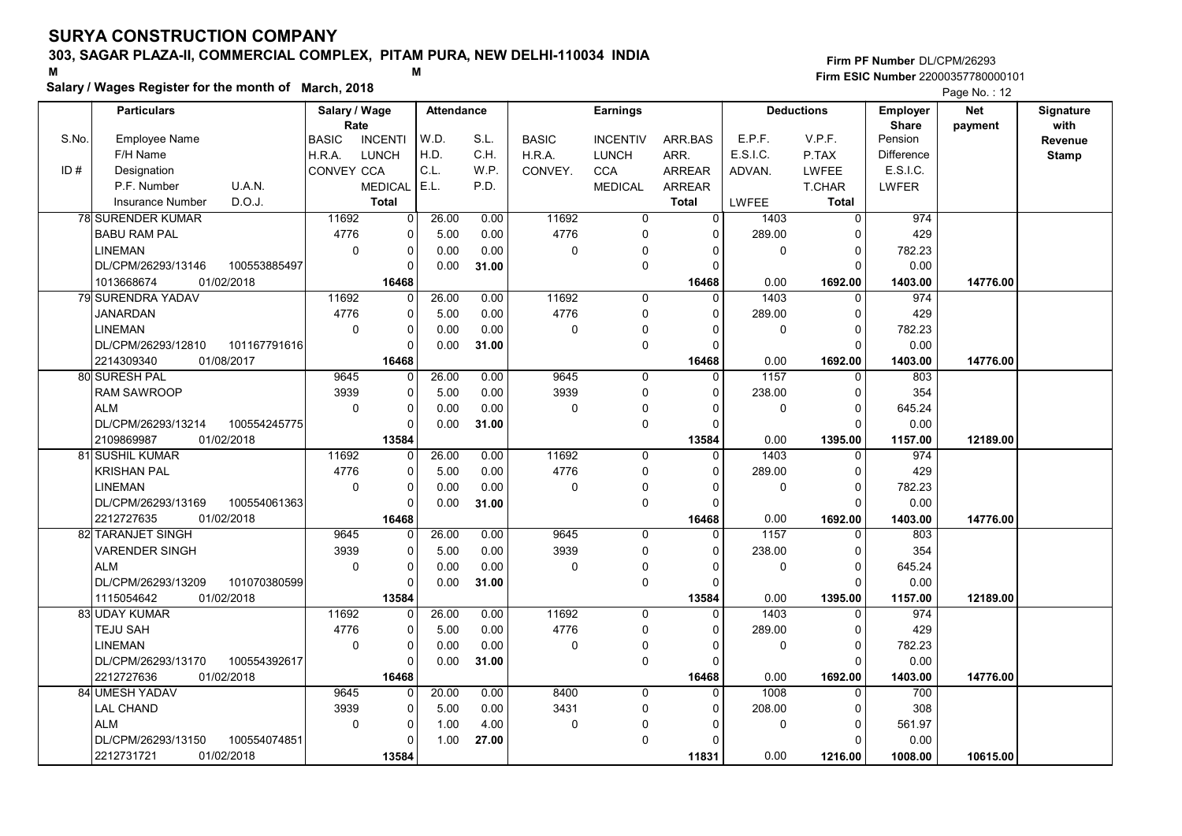# 303, SAGAR PLAZA-II, COMMERCIAL COMPLEX, PITAM PURA, NEW DELHI-110034 INDIA

#### Salary / Wages Register for the month of March, 2018

#### Firm PF Number DL/CPM/26293 M<br>M<br>A M Firm ESIC Number 22000357780000101

|       | <b>Particulars</b>                 | Salary / Wage        |                | <b>Attendance</b> |       |              | <b>Earnings</b> |                |              | <b>Deductions</b> | <b>Employer</b>         | <b>Net</b> | Signature       |
|-------|------------------------------------|----------------------|----------------|-------------------|-------|--------------|-----------------|----------------|--------------|-------------------|-------------------------|------------|-----------------|
| S.No. | Employee Name                      | Rate<br><b>BASIC</b> | <b>INCENTI</b> | W.D.              | S.L.  | <b>BASIC</b> | <b>INCENTIV</b> | ARR.BAS        | E.P.F.       | V.P.F.            | <b>Share</b><br>Pension | payment    | with<br>Revenue |
|       | F/H Name                           | H.R.A.               | <b>LUNCH</b>   | H.D.              | C.H.  | H.R.A.       | <b>LUNCH</b>    | ARR.           | E.S.I.C.     | P.TAX             | Difference              |            | <b>Stamp</b>    |
| ID#   | Designation                        | CONVEY CCA           |                | C.L.              | W.P.  | CONVEY.      | CCA             | <b>ARREAR</b>  | ADVAN.       | <b>LWFEE</b>      | E.S.I.C.                |            |                 |
|       | P.F. Number<br>U.A.N.              |                      | <b>MEDICAL</b> | E.L.              | P.D.  |              | <b>MEDICAL</b>  | ARREAR         |              | T.CHAR            | LWFER                   |            |                 |
|       | D.O.J.<br><b>Insurance Number</b>  |                      | <b>Total</b>   |                   |       |              |                 | <b>Total</b>   | <b>LWFEE</b> | Total             |                         |            |                 |
|       | <b>78 SURENDER KUMAR</b>           | 11692                | $\overline{0}$ | 26.00             | 0.00  | 11692        | 0               | $\overline{0}$ | 1403         | $\mathbf 0$       | 974                     |            |                 |
|       | <b>BABU RAM PAL</b>                | 4776                 | $\mathbf 0$    | 5.00              | 0.00  | 4776         | 0               | $\Omega$       | 289.00       | $\mathbf 0$       | 429                     |            |                 |
|       | <b>LINEMAN</b>                     | $\mathbf 0$          | 0              | 0.00              | 0.00  | 0            | $\mathbf{0}$    | $\Omega$       | 0            | $\mathbf 0$       | 782.23                  |            |                 |
|       | DL/CPM/26293/13146<br>100553885497 |                      | $\Omega$       | 0.00              | 31.00 |              | $\mathbf 0$     | $\Omega$       |              | $\Omega$          | 0.00                    |            |                 |
|       | 1013668674<br>01/02/2018           |                      | 16468          |                   |       |              |                 | 16468          | 0.00         | 1692.00           | 1403.00                 | 14776.00   |                 |
|       | 79 SURENDRA YADAV                  | 11692                | $\mathbf 0$    | 26.00             | 0.00  | 11692        | $\mathbf 0$     | $\Omega$       | 1403         | $\mathbf 0$       | 974                     |            |                 |
|       | <b>JANARDAN</b>                    | 4776                 | 0              | 5.00              | 0.00  | 4776         | $\Omega$        | $\Omega$       | 289.00       | $\mathbf 0$       | 429                     |            |                 |
|       | <b>LINEMAN</b>                     | $\Omega$             | 0              | 0.00              | 0.00  | 0            | $\Omega$        | n              | $\Omega$     | $\mathbf{0}$      | 782.23                  |            |                 |
|       | DL/CPM/26293/12810<br>101167791616 |                      | $\Omega$       | 0.00              | 31.00 |              | $\mathbf 0$     | $\Omega$       |              | $\Omega$          | 0.00                    |            |                 |
|       | 2214309340<br>01/08/2017           |                      | 16468          |                   |       |              |                 | 16468          | 0.00         | 1692.00           | 1403.00                 | 14776.00   |                 |
|       | 80 SURESH PAL                      | 9645                 | 0              | 26.00             | 0.00  | 9645         | 0               | 0              | 1157         | 0                 | 803                     |            |                 |
|       | <b>RAM SAWROOP</b>                 | 3939                 | $\mathbf 0$    | 5.00              | 0.00  | 3939         | $\Omega$        | $\Omega$       | 238.00       | $\mathbf 0$       | 354                     |            |                 |
|       | <b>ALM</b>                         | $\mathbf 0$          | $\mathbf 0$    | 0.00              | 0.00  | 0            | $\mathbf 0$     | $\Omega$       | 0            | $\mathbf 0$       | 645.24                  |            |                 |
|       | DL/CPM/26293/13214<br>100554245775 |                      | $\mathbf 0$    | 0.00              | 31.00 |              | $\mathbf 0$     | $\Omega$       |              | $\Omega$          | 0.00                    |            |                 |
|       | 2109869987<br>01/02/2018           |                      | 13584          |                   |       |              |                 | 13584          | 0.00         | 1395.00           | 1157.00                 | 12189.00   |                 |
|       | 81 SUSHIL KUMAR                    | 11692                | $\Omega$       | 26.00             | 0.00  | 11692        | $\Omega$        | $\Omega$       | 1403         | $\Omega$          | 974                     |            |                 |
|       | <b>KRISHAN PAL</b>                 | 4776                 | $\mathbf 0$    | 5.00              | 0.00  | 4776         | $\mathbf 0$     | $\Omega$       | 289.00       | $\mathbf 0$       | 429                     |            |                 |
|       | <b>LINEMAN</b>                     | $\mathbf 0$          | $\Omega$       | 0.00              | 0.00  | 0            | $\mathbf 0$     | $\Omega$       | 0            | $\mathbf 0$       | 782.23                  |            |                 |
|       | DL/CPM/26293/13169<br>100554061363 |                      | $\mathbf 0$    | 0.00              | 31.00 |              | $\mathbf 0$     | $\Omega$       |              | $\Omega$          | 0.00                    |            |                 |
|       | 2212727635<br>01/02/2018           |                      | 16468          |                   |       |              |                 | 16468          | 0.00         | 1692.00           | 1403.00                 | 14776.00   |                 |
|       | 82 TARANJET SINGH                  | 9645                 | $\Omega$       | 26.00             | 0.00  | 9645         | $\Omega$        | $\Omega$       | 1157         | $\Omega$          | 803                     |            |                 |
|       | <b>VARENDER SINGH</b>              | 3939                 | 0              | 5.00              | 0.00  | 3939         | $\Omega$        | $\Omega$       | 238.00       | $\mathbf 0$       | 354                     |            |                 |
|       | <b>ALM</b>                         | $\mathbf 0$          | 0              | 0.00              | 0.00  | 0            | $\Omega$        | $\Omega$       | 0            | $\pmb{0}$         | 645.24                  |            |                 |
|       | DL/CPM/26293/13209<br>101070380599 |                      | 0              | 0.00              | 31.00 |              | $\mathbf 0$     | $\Omega$       |              | $\mathbf{0}$      | 0.00                    |            |                 |
|       | 01/02/2018<br>1115054642           |                      | 13584          |                   |       |              |                 | 13584          | 0.00         | 1395.00           | 1157.00                 | 12189.00   |                 |
|       | 83 UDAY KUMAR                      | 11692                | 0              | 26.00             | 0.00  | 11692        | $\Omega$        | 0              | 1403         | $\mathbf 0$       | 974                     |            |                 |
|       | TEJU SAH                           | 4776                 | 0              | 5.00              | 0.00  | 4776         | 0               | $\Omega$       | 289.00       | $\mathbf 0$       | 429                     |            |                 |
|       | <b>LINEMAN</b>                     | $\Omega$             | 0              | 0.00              | 0.00  | 0            | $\mathbf 0$     | $\Omega$       | $\mathbf 0$  | $\mathbf 0$       | 782.23                  |            |                 |
|       | DL/CPM/26293/13170<br>100554392617 |                      | $\Omega$       | 0.00              | 31.00 |              | $\Omega$        | $\Omega$       |              | $\Omega$          | 0.00                    |            |                 |
|       | 2212727636<br>01/02/2018           |                      | 16468          |                   |       |              |                 | 16468          | 0.00         | 1692.00           | 1403.00                 | 14776.00   |                 |
|       | 84 UMESH YADAV                     | 9645                 | $\Omega$       | 20.00             | 0.00  | 8400         | $\Omega$        | $\Omega$       | 1008         | $\mathbf{0}$      | 700                     |            |                 |
|       | <b>LAL CHAND</b>                   | 3939                 | $\mathbf 0$    | 5.00              | 0.00  | 3431         | $\mathbf 0$     | $\Omega$       | 208.00       | $\mathbf 0$       | 308                     |            |                 |
|       | <b>ALM</b>                         | $\mathbf 0$          | $\mathbf 0$    | 1.00              | 4.00  | $\mathbf 0$  | $\Omega$        | 0              | $\mathbf{0}$ | $\mathbf 0$       | 561.97                  |            |                 |
|       | DL/CPM/26293/13150<br>100554074851 |                      | $\Omega$       | 1.00              | 27.00 |              | $\mathbf 0$     | $\Omega$       |              | $\Omega$          | 0.00                    |            |                 |
|       | 2212731721<br>01/02/2018           |                      | 13584          |                   |       |              |                 | 11831          | 0.00         | 1216.00           | 1008.00                 | 10615.00   |                 |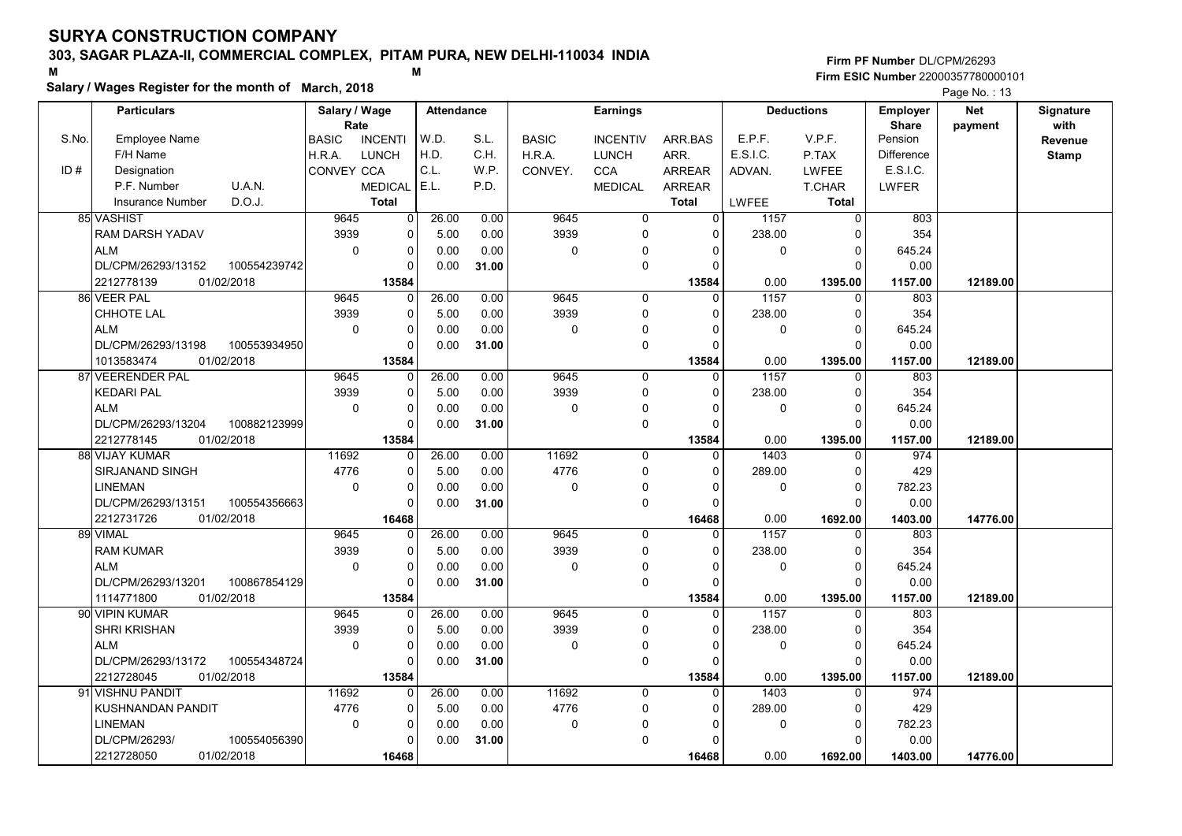# 303, SAGAR PLAZA-II, COMMERCIAL COMPLEX, PITAM PURA, NEW DELHI-110034 INDIA

#### Salary / Wages Register for the month of March, 2018

|       | Salary / Wages Register for the month of March, 2018<br>Page No.: 13 |                                    |                   |              |                 |                  |                      |                   |                         |                   |                  |              |  |
|-------|----------------------------------------------------------------------|------------------------------------|-------------------|--------------|-----------------|------------------|----------------------|-------------------|-------------------------|-------------------|------------------|--------------|--|
|       | <b>Particulars</b>                                                   | Salary / Wage                      | <b>Attendance</b> |              | <b>Earnings</b> |                  | <b>Deductions</b>    |                   | Employer                | <b>Net</b>        | <b>Signature</b> |              |  |
|       |                                                                      | Rate                               |                   |              |                 |                  |                      |                   |                         | <b>Share</b>      | payment          | with         |  |
| S.No. | <b>Employee Name</b>                                                 | <b>BASIC</b><br><b>INCENTI</b>     | W.D.              | S.L.         | <b>BASIC</b>    | <b>INCENTIV</b>  | ARR.BAS              | E.P.F.            | V.P.F.                  | Pension           |                  | Revenue      |  |
|       | F/H Name                                                             | H.R.A.<br><b>LUNCH</b>             | H.D.              | C.H.         | H.R.A.          | <b>LUNCH</b>     | ARR.                 | E.S.I.C.          | P.TAX                   | <b>Difference</b> |                  | <b>Stamp</b> |  |
| ID#   | Designation                                                          | <b>CONVEY CCA</b>                  | C.L.              | W.P.         | CONVEY.         | <b>CCA</b>       | <b>ARREAR</b>        | ADVAN.            | <b>LWFEE</b>            | <b>E.S.I.C.</b>   |                  |              |  |
|       | U.A.N.<br>P.F. Number<br>D.O.J.                                      | <b>MEDICAL</b>                     | E.L.              | P.D.         |                 | <b>MEDICAL</b>   | ARREAR               |                   | T.CHAR                  | <b>LWFER</b>      |                  |              |  |
|       | <b>Insurance Number</b>                                              | <b>Total</b><br>9645               | 26.00             |              | 9645            | $\overline{0}$   | <b>Total</b>         | <b>LWFEE</b>      | Total<br>$\overline{0}$ | 803               |                  |              |  |
|       | 85 VASHIST                                                           | $\overline{0}$<br>3939<br>$\Omega$ |                   | 0.00         | 3939            |                  | $\Omega$<br>$\Omega$ | 1157<br>238.00    |                         | 354               |                  |              |  |
|       | RAM DARSH YADAV<br><b>ALM</b>                                        | $\mathbf 0$<br>$\mathbf 0$         | 5.00<br>0.00      | 0.00<br>0.00 |                 | $\mathbf 0$<br>0 | $\Omega$             | $\mathbf 0$       | $\Omega$<br>0           | 645.24            |                  |              |  |
|       | DL/CPM/26293/13152<br>100554239742                                   | $\Omega$                           | 0.00              | 31.00        | 0               | $\pmb{0}$        |                      |                   | $\Omega$                | 0.00              |                  |              |  |
|       | 2212778139<br>01/02/2018                                             | 13584                              |                   |              |                 |                  | 13584                | 0.00              | 1395.00                 | 1157.00           | 12189.00         |              |  |
|       | 86 VEER PAL                                                          | 9645<br>$\mathbf 0$                | 26.00             | 0.00         | 9645            | 0                | $\Omega$             | 1157              | $\Omega$                | 803               |                  |              |  |
|       | CHHOTE LAL                                                           | 3939<br>$\mathbf 0$                | 5.00              | 0.00         | 3939            | $\mathbf 0$      | $\Omega$             | 238.00            | 0                       | 354               |                  |              |  |
|       | <b>ALM</b>                                                           | $\mathbf 0$<br>$\mathbf 0$         | 0.00              | 0.00         | 0               | $\mathbf 0$      |                      | $\Omega$          | $\Omega$                | 645.24            |                  |              |  |
|       | DL/CPM/26293/13198<br>100553934950                                   | $\Omega$                           | 0.00              | 31.00        |                 | $\mathsf 0$      |                      |                   | $\Omega$                | 0.00              |                  |              |  |
|       | 1013583474<br>01/02/2018                                             | 13584                              |                   |              |                 |                  | 13584                | 0.00              | 1395.00                 | 1157.00           | 12189.00         |              |  |
|       | 87 VEERENDER PAL                                                     | 9645<br>$\Omega$                   | 26.00             | 0.00         | 9645            | $\mathbf 0$      | $\Omega$             | $\overline{1157}$ | $\Omega$                | 803               |                  |              |  |
|       | <b>KEDARI PAL</b>                                                    | 3939<br>$\Omega$                   | 5.00              | 0.00         | 3939            | $\mathsf 0$      | $\Omega$             | 238.00            | $\Omega$                | 354               |                  |              |  |
|       | <b>ALM</b>                                                           | $\Omega$<br>$\Omega$               | 0.00              | 0.00         | 0               | $\mathbf 0$      |                      | $\Omega$          | $\Omega$                | 645.24            |                  |              |  |
|       | DL/CPM/26293/13204<br>100882123999                                   | $\Omega$                           | 0.00              | 31.00        |                 | $\mathbf 0$      | $\Omega$             |                   | $\Omega$                | 0.00              |                  |              |  |
|       | 2212778145<br>01/02/2018                                             | 13584                              |                   |              |                 |                  | 13584                | 0.00              | 1395.00                 | 1157.00           | 12189.00         |              |  |
|       | 88 VIJAY KUMAR                                                       | 11692<br>$\Omega$                  | 26.00             | 0.00         | 11692           | $\Omega$         | $\Omega$             | 1403              | $\Omega$                | 974               |                  |              |  |
|       | SIRJANAND SINGH                                                      | 4776<br>$\mathbf 0$                | 5.00              | 0.00         | 4776            | $\mathbf 0$      | $\Omega$             | 289.00            | $\Omega$                | 429               |                  |              |  |
|       | <b>LINEMAN</b>                                                       | $\mathbf 0$<br>$\mathbf 0$         | 0.00              | 0.00         | 0               | 0                |                      | $\Omega$          | 0                       | 782.23            |                  |              |  |
|       | DL/CPM/26293/13151<br>100554356663                                   | $\Omega$                           | 0.00              | 31.00        |                 | $\mathsf 0$      |                      |                   | $\Omega$                | 0.00              |                  |              |  |
|       | 2212731726<br>01/02/2018                                             | 16468                              |                   |              |                 |                  | 16468                | 0.00              | 1692.00                 | 1403.00           | 14776.00         |              |  |
|       | 89 VIMAL                                                             | 9645<br>$\Omega$                   | 26.00             | 0.00         | 9645            | $\mathbf 0$      | $\Omega$             | 1157              | $\Omega$                | 803               |                  |              |  |
|       | <b>RAM KUMAR</b>                                                     | 3939<br>$\mathbf 0$                | 5.00              | 0.00         | 3939            | $\mathbf 0$      | $\Omega$             | 238.00            | $\Omega$                | 354               |                  |              |  |
|       | <b>ALM</b>                                                           | $\mathbf{0}$<br>$\Omega$           | 0.00              | 0.00         | 0               | 0                |                      | $\Omega$          | $\Omega$                | 645.24            |                  |              |  |
|       | DL/CPM/26293/13201<br>100867854129                                   | 0                                  | 0.00              | 31.00        |                 | $\mathsf 0$      |                      |                   | $\Omega$                | 0.00              |                  |              |  |
|       | 1114771800<br>01/02/2018                                             | 13584                              |                   |              |                 |                  | 13584                | 0.00              | 1395.00                 | 1157.00           | 12189.00         |              |  |
|       | 90 VIPIN KUMAR                                                       | 9645<br>$\Omega$                   | 26.00             | 0.00         | 9645            | $\mathbf 0$      | $\Omega$             | 1157              | $\Omega$                | 803               |                  |              |  |
|       | <b>SHRI KRISHAN</b>                                                  | 3939<br>$\mathbf 0$                | 5.00              | 0.00         | 3939            | $\mathsf 0$      | $\Omega$             | 238.00            | 0                       | 354               |                  |              |  |
|       | <b>ALM</b>                                                           | $\Omega$<br>$\mathbf 0$            | 0.00              | 0.00         | 0               | 0                | O                    | $\Omega$          | 0                       | 645.24            |                  |              |  |
|       | DL/CPM/26293/13172<br>100554348724                                   | $\Omega$                           | 0.00              | 31.00        |                 | $\pmb{0}$        |                      |                   | $\Omega$                | 0.00              |                  |              |  |
|       | 01/02/2018<br>2212728045                                             | 13584                              |                   |              |                 |                  | 13584                | 0.00              | 1395.00                 | 1157.00           | 12189.00         |              |  |
|       | 91 VISHNU PANDIT                                                     | 11692<br>0                         | 26.00             | 0.00         | 11692           | $\Omega$         | $\Omega$             | 1403              | $\Omega$                | 974               |                  |              |  |
|       | KUSHNANDAN PANDIT                                                    | 4776<br>$\mathbf 0$                | 5.00              | 0.00         | 4776            | $\mathbf 0$      | $\Omega$             | 289.00            | 0                       | 429               |                  |              |  |
|       | <b>LINEMAN</b>                                                       | $\mathbf 0$<br>$\mathbf 0$         | 0.00              | 0.00         | 0               | 0                |                      | $\Omega$          | $\Omega$                | 782.23            |                  |              |  |
|       | DL/CPM/26293/<br>100554056390                                        | $\Omega$                           | 0.00              | 31.00        |                 | $\pmb{0}$        |                      |                   | $\Omega$                | 0.00              |                  |              |  |
|       | 2212728050<br>01/02/2018                                             | 16468                              |                   |              |                 |                  | 16468                | 0.00              | 1692.00                 | 1403.00           | 14776.00         |              |  |